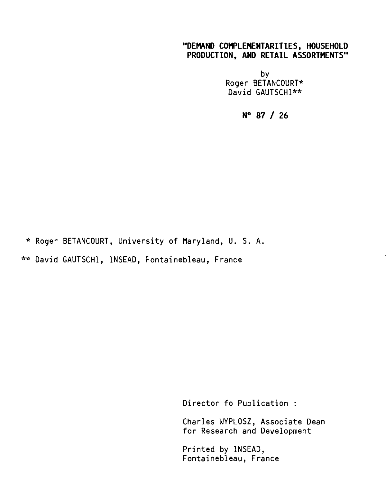# **"DEMAND COMPLEMENTARITIES, HOUSEHOLD PRODUCTION, AND RETAIL ASSORTMENTS"**

by Roger BETANCOURT\* David GAUTSCHI\*\*

**N° 87 / 26** 

\* Roger BETANCOURT, University of Maryland, U. S. A.

\*\* David GAUTSCHI, INSEAD, Fontainebleau, France

Director fo Publication :

Charles WYPLOSZ, Associate Dean for Research and Development

Printed by INSEAD, Fontainebleau, France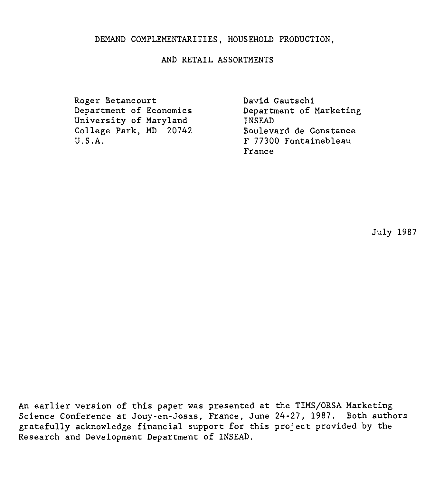## AND RETAIL ASSORTMENTS

Roger Betancourt Department of Economics University of Maryland College Park, MD 20742 U.S.A.

David Gautschi Department of Marketing INSEAD Boulevard de Constance F 77300 Fontainebleau France

July 1987

An earlier version of this paper was presented at the TIMS/ORSA Marketing Science Conference at Jouy-en-Josas, France, June 24-27, 1987. Both authors gratefully acknowledge financial support for this project provided by the Research and Development Department of INSEAD.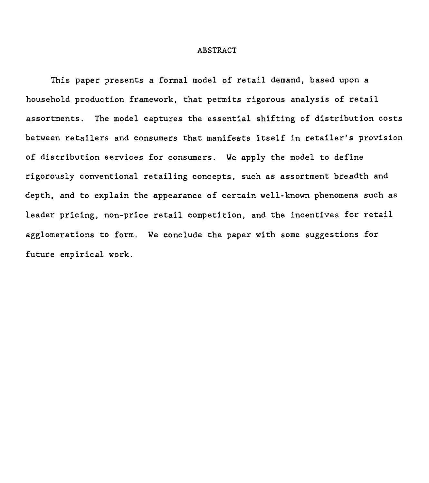#### ABSTRACT

This paper presents a formai model of retail demand, based upon a household production framework, that permits rigorous analysis of retail assortments. The model captures the essential shifting of distribution costs between retailers and consumers that manifesta itself in retailer's provision of distribution services for consumers. We apply the model to define rigorously conventional retailing concepts, such as assortment breadth and depth, and to explain the appearance of certain well-known phenomena such as leader pricing, non-price retail competition, and the incentives for retail aggiomerations to form. We conclude the paper with some suggestions for future empirical work.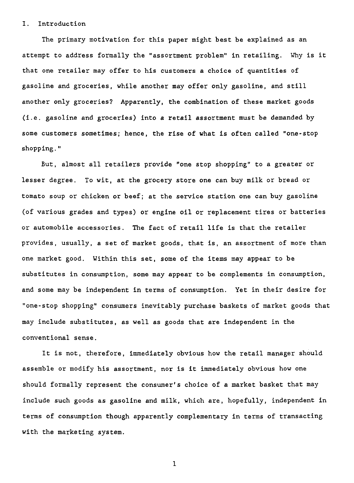#### I. Introduction

The primary motivation for this paper might best be explained as an attempt to address formally the "assortment problem" in retailing. Why is it that one retailer may offer to his customers a choice of quantities of gasoline and groceries, while another may offer only gasoline, and still another only groceries? Apparently, the combination of these market goods (i.e. gasoline and groceries) into a retail assortment must be demanded by some customers sometimes; hence, the rise of what is often called "one-stop shopping."

But, almost all retailers provide "one stop shopping" to a greater or lesser degree. To wit, at the grocery store one can buy milk or bread or tomato soup or chicken or beef; at the service station one can buy gasoline (of various grades and types) or engine oil or replacement tires or batteries or automobile accessories. The fact of retail life is that the retailer provides, usually, a set of market goods, that is, an assortment of more than one market good. Within this set, some of the items may appear to be substitutes in consumption, some may appear to be complements in consumption, and some may be independent in terms of consumption. Yet in their desire for "one-stop shopping" consumers inevitably purchase baskets of market goods that may include substitutes, as well as goods that are independent in the conventional sense.

It is not, therefore, immediately obvious how the retail manager should assemble or modify his assortment, nor is it immediately obvious how one should formally represent the consumer's choice of a market basket that may include such goods as gasoline and milk, which are, hopefully, independent in terms of consumption though apparently complementary in terms of transacting with the marketing system.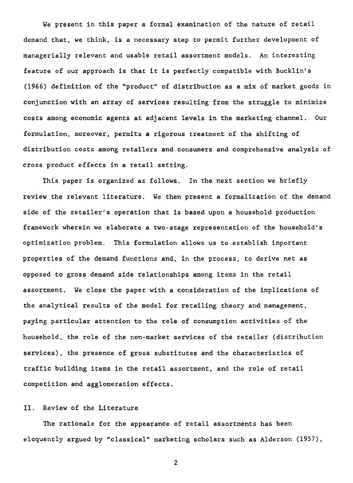We present in this paper a formal examination of the nature of retail demand that, we think, is a necessary step to permit further development of managerially relevant and usable retail assortment models. An interesting feature of our approach is that it is perfectly compatible with Bucklin's (1966) definition of the "product" of distribution as a mix of market goods in conjunction with an array of services resulting from the struggle to minimize costs among economic agents at adjacent levels in the marketing channel. Our formulation, moreover, permits a rigorous treatment of the shifting of distribution costs among retailers and consumers and comprehensive analysis of cross product effects in a retail setting.

This paper is organized as follows. In the next section we briefly review the relevant literature. We then present a formalization of the demand side of the retailer's operation that is based upon a household production framework wherein we elaborate a two-stage representation of the household's optimization problem. This formulation allows us to establish important properties of the demand functions and, in the process, to derive net as opposed to gross demand side relationships among items in the retail assortment. We close the paper with a consideration of the implications of the analytical results of the model for retailing theory and management, paying particular attention to the role of consumption activities of the household, the role of the non-market services of the retailer (distribution services), the presence of gross substitutes and the characteristics of traffic building items in the retail assortment, and the role of retail competition and agglomeration effects.

#### II. Review of the Literature

The rationale for the appearance of retail assortments has been eloquently argued by "classical" marketing scholars such as Alderson (1957),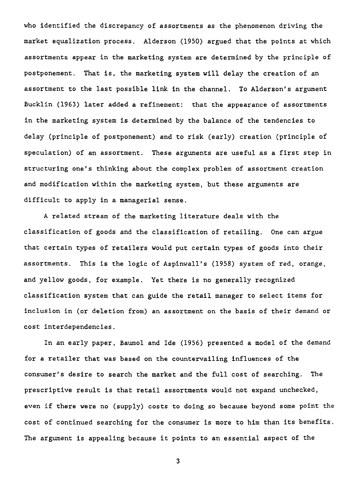who identified the discrepancy of assortments as the phenomenon driving the market equalization process. Alderson (1950) argued that the points at which assortments appear in the marketing system are determined by the principle of postponement. That is, the marketing system will delay the creation of an assortment to the last possible link in the channel. To Alderson's argument Bucklin (1963) later added a refinement: that the appearance of assortments in the marketing system is determined by the balance of the tendencies to delay (principle of postponement) and to risk (early) creation (principle of speculation) of an assortment. These arguments are useful as a first step in structuring one's thinking about the complex problem of assortment creation and modification within the marketing system, but these arguments are difficult to apply in a managerial sense.

A related stream of the marketing literature deals with the classification of goods and the classification of retailing. One can argue that certain types of retailers would put certain types of goods into their assortments. This is the logic of Aspinwall's (1958) system of red, orange, and yellow goods, for example. Yet there is no generally recognized classification system that can guide the retail manager to select items for inclusion in (or deletion from) an assortment on the basis of their demand or cost interdependencies.

In an early paper, Baumol and Ide (1956) presented a model of the demand for a retailer that was based on the countervailing influences of the consumer's desire to search the market and the full cost of searching. The prescriptive result is that retail assortments would not expand unchecked, even if there were no (supply) costs to doing so because beyond some point the cost of continued searching for the consumer is more to him than its benefits. The argument is appealing because it points to an essential aspect of the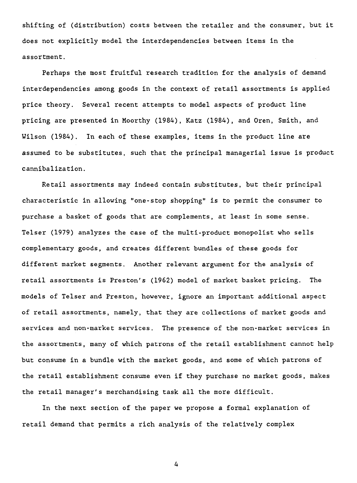shifting of (distribution) costs between the retailer and the consumer, but it does not explicitly model the interdependencies between items in the assortment.

Perhaps the most fruitful research tradition for the analysis of demand interdependencies among goods in the context of retail assortments is applied price theory. Several recent attempts to model aspects of product line pricing are presented in Moorthy (1984), Katz (1984), and Oren, Smith, and Wilson (1984). In each of these examples, items in the product line are assumed to be substitutes, such that the principal managerial issue is product cannibalization.

Retail assortments may indeed contain substitutes, but their principal characteristic in allowing "one-stop shopping" is to permit the consumer to purchase a basket of goods that are complements, at least in some sense. Telser (1979) analyzes the case of the multi-product monopolist who sells complementary goods, and creates different bundles of these goods for different market segments. Another relevant argument for the analysis of retail assortments is Preston's (1962) model of market basket pricing. The models of Telser and Preston, however, ignore an important additional aspect of retail assortments, namely, that they are collections of market goods and services and non-market services. The presence of the non-market services in the assortments, many of which patrons of the retail establishment cannot help but consume in a bundle with the market goods, and some of which patrons of the retail establishment consume even if they purchase no market goods, makes the retail manager's merchandising task all the more difficult.

In the next section of the paper we propose a formal explanation of retail demand that permits a rich analysis of the relatively complex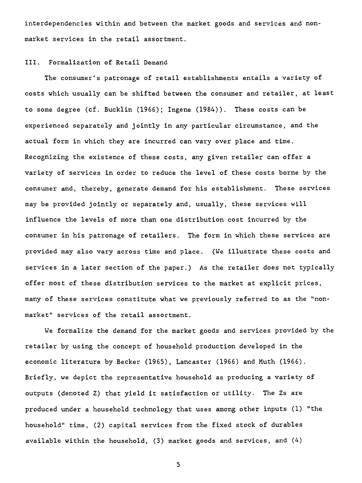interdependencies within and between the market goods and services and nonmarket services in the retail assortment.

#### III. Formalization of Retail Demand

The consumer's patronage of retail establishments entails a variety of costs which usually can be shifted between the consumer and retailer, at least to some degree (cf. Bucklin (1966); Ingene (1984)). These costs can be experienced separately and jointly in any particular circumstance, and the actuel form in which they are incurred can vary over place and time. Recognizing the existence of these costs, any given retailer can offer a variety of services in order to reduce the level of these costs borne by the consumer and, thereby, generate demand for his establishment. These services may be provided jointly or separately and, usually, these services will influence the levels of more than one distribution cost incurred by the consumer in his patronage of retailers. The form in which these services are provided may also vary across time and place. (We illustrate these costs and services in a later section of the paper.) As the retailer does not typically offer most of these distribution services to the market at explicit prices, many of these services constitute what we previously referred to as the "nonmarket" services of the retail assortment.

We formalize the demand for the market goods and services provided by the retailer by using the concept of household production developed in the economic literature by Becker (1965), Lancaster (1966) and Muth (1966). Briefly, we depict the representative household as producing a variety of outputs (denoted Z) that yield it satisfaction or utility. The Zs are produced under a household technology that uses among other inputs (1) "the household" time, (2) capital services from the fixed stock of durables available within the household,  $(3)$  market goods and services, and  $(4)$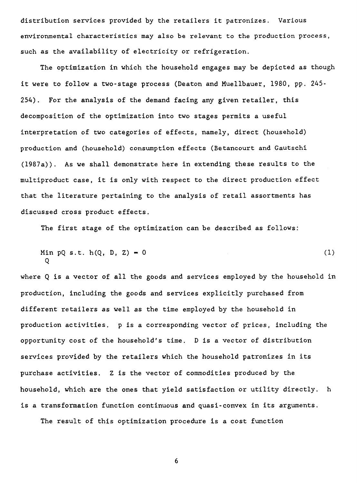distribution services provided by the retailers it patronizes. Various environmental characteristics may also be relevant to the production process, such as the availability of electricity or refrigeration.

The optimization in which the household engages may be depicted as though it were to follow a two-stage process (Deaton and Muellbauer, 1980, pp. 245- 254). For the analysis of the demand facing any given retailer, this decomposition of the optimization into two stages permits a useful interpretation of two categories of effects, namely, direct (household) production and (household) consumption effects (Betancourt and Gautschi (1987a)). As we shall demonstrate here in extending these results to the multiproduct case, it is only with respect to the direct production effect that the literature pertaining to the analysis of retail assortments has discussed cross product effects.

The first stage of the optimization can be described as follows:

Min pQ s.t. h(Q, D, Z) 0 (1) Q

where Q is a vector of all the goods and services employed by the household in production, including the goods and services explicitly purchased from different retailers as well as the time employed by the household in production activities. p is a corresponding vector of prices, including the opportunity cost of the household's time. D is a vector of distribution services provided by the retailers which the household patronizes in its purchase activities. Z is the vector of commodities produced by the household, which are the ones that yield satisfaction or utility directly. h is a transformation function continuous and quasi-convex in its arguments.

The result of this optimization procedure is a cost function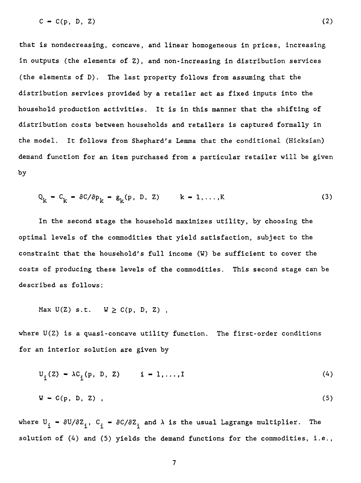$C = C(p, D, Z)$  (2)

that is nondecreasing, concave, and linear homogeneous in prices, increasing in outputs (the elements of Z), and non-increasing in distribution services (the elements of D). The last property follows from assuming that the distribution services provided by a retailer act as fixed inputs into the household production activities. It is in this manner that the shifting of distribution costs between households and retailers is captured formally in the model. It follows from Shephard's Lemma that the conditional (Hicksian) demand function for an item purchased from a particular retailer will be given by

$$
Q_k - C_k = \partial C / \partial p_k = g_k(p, D, Z) \qquad k = 1, ..., K
$$
 (3)

In the second stage the household maximizes utility, by choosing the optimal levels of the commodities that yield satisfaction, subject to the constraint that the household's full income (W) be sufficient to cover the costs of producing these levels of the commodities. This second stage can be described as follows:

Max  $U(Z)$  s.t.  $W \ge C(p, D, Z)$ ,

where  $U(Z)$  is a quasi-concave utility function. The first-order conditions for an interior solution are given by

$$
U_{i}(Z) - \lambda C_{i}(p, D, Z) \qquad i = 1,..., I
$$
 (4)

$$
W = C(p, D, Z) \tag{5}
$$

where  $U_i = \partial U/\partial Z_i$ ,  $C_i = \partial C/\partial Z_i$  and  $\lambda$  is the usual Lagrange multiplier. The solution of  $(4)$  and  $(5)$  yields the demand functions for the commodities, i.e.,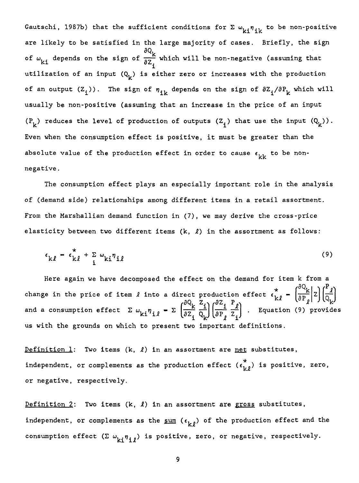Gautschi, 1987b) that the sufficient conditions for  $\Sigma \omega_{ki} \eta_{ik}$  to be non-positive are likely to be satisfied in the large majority of cases. Briefly, the sign of  $\omega_{\bf kl}^{}$  depends on the sign of  $\frac{\partial Q_{\bf k}^{}}{\partial \vec{z}_{\bf i}}$  which will be non-negative (assuming that utilization of an input  $(Q_k)$  is either zero or increases with the production of an output  $(Z_i)$ ). The sign of  $\eta_{ik}$  depends on the sign of  $\partial Z_i/\partial P_k$  which will usually be non-positive (assuming that an increase in the price of an input  $(P_k)$  reduces the level of production of outputs  $(Z_i)$  that use the input  $(Q_k)$ . Even when the consumption effect is positive, it must be greater than the absolute value of the production effect in order to cause  $\epsilon_{kk}$  to be nonnegative.

The consumption effect plays an especially important role in the analysis of (demand side) relationships among different items in a retail assortment. From the Marshallian demand function in (7), we may derive the cross-price elasticity between two different items  $(k, l)$  in the assortment as follows:

$$
\epsilon_{k\ell} = \epsilon_{k\ell}^* + \sum_{i} \omega_{ki} \eta_{i\ell} \tag{9}
$$

Here again we have decomposed the effect on the demand for item k from a  $\left(\frac{\partial Q_k}{\partial R}\right)$   $\left(\frac{P_l}{\rho}\right)$ change in the price of item  $\ell$  into a direct production effect  $\epsilon_{k\ell}^* = \left(\frac{\partial Q_k}{\partial P_\ell} \Big| Z\right) \left(\frac{P_\ell}{Q_k}\right)$ and a consumption effect  $\Sigma \omega_{\mathbf{k}i} \eta_{i\ell} - \Sigma \left( \frac{\kappa}{\partial \Sigma_i} \frac{1}{Q_{\mathbf{k}}}\right) \left( \frac{1}{\partial P_{\ell}} \frac{1}{Z_i} \right)$ . Equation (9) provides us with the grounds on which to present two important definitions.

Definition  $1$ : Two items  $(k, \ell)$  in an assortment are net substitutes, independent, or complements as the production effect  $(\epsilon_{k\ell}^*)$  is positive, zero, or negative, respectively.

Definition 2: Two items  $(k, \ell)$  in an assortment are gross substitutes, independent, or complements as the sum  $(\epsilon_{k,\ell})$  of the production effect and the consumption effect  $(\Sigma \omega_{ki} \eta_{i\ell})$  is positive, zero, or negative, respectively.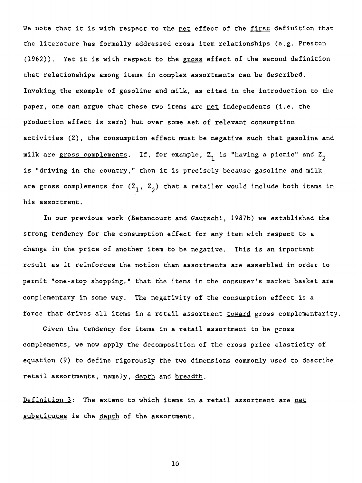We note that it is with respect to the net effect of the first definition that the literature has formally addressed cross item relationships (e.g. Preston (1962)). Yet it is with respect to the gross effect of the second definition that relationships among items in complex assortments can be described. Invoking the example of gasoline and milk, as cited in the introduction to the paper, one can argue that these two items are net independents (i.e. the production effect is zero) but over some set of relevant consumption activities (Z), the consumption effect must be negative such that gasoline and milk are gross complements. If, for example,  $Z_1$  is "having a picnic" and  $Z_2$ is "driving in the country," then it is precisely because gasoline and milk are gross complements for  $(2, 2, 2)$  that a retailer would include both items in his assortment.

In our previous work (Betancourt and Gautschi, 1987b) we established the strong tendency for the consumption effect for any item with respect to a change in the price of another item to be negative. This is an important result as it reinforces the notion than assortments are assembled in order to permit "one-stop shopping," that the items in the consumer's market basket are complementary in some way. The negativity of the consumption effect is a force that drives ail items in a retail assortment toward gross complementarity.

Given the tendency for items in a retail assortment to be gross complements, we now apply the decomposition of the cross price elasticity of equation (9) to define rigorously the two dimensions commonly used to describe retail assortments, namely, depth and breadth.

Definition 3: The extent to which items in a retail assortment are net substitutes is the depth of the assortment.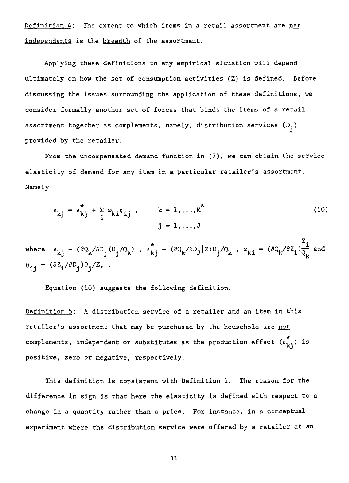Definition  $4$ : The extent to which items in a retail assortment are net independents is the breadth of the assortment.

Applying these definitions to any empirical situation will depend ultimately on how the set of consumption activities (Z) is defined. Before discussing the issues surrounding the application of these definitions, we consider formally another set of forces that binds the items of a retail assortment together as complements, namely, distribution services  $(D_i)$ provided by the retailer.

From the uncompensated demand function in (7), we can obtain the service elasticity of demand for any item in a particular retailer's assortment. Namely

$$
\varepsilon_{kj} = \varepsilon_{kj}^* + \sum_{i} \omega_{ki} \eta_{ij}, \qquad k = 1, ..., K^*
$$
 (10)

 $j = 1, ..., J$ <br>where  $\epsilon_{kj} = (\partial Q_k / \partial D_j (D_j / Q_k)$ ,  $\epsilon_{kj}^* = (\partial Q_k / \partial D_j / Q_k)$ ,  $\omega_{ki} = (\partial Q_k / \partial Z_i) \frac{Z_i}{Q_k}$  and  $n_{ij} = (\partial Z_i / \partial D_j) D_j / Z_i$ .

Equation (10) suggests the following definition.

Definition 5: A distribution service of a retailer and an item in this retailer's assortment that may be purchased by the household are net complements, independent or substitutes as the production effect  $(\epsilon_{k,i}^*)$  is positive, zero or negative, respectively.

This definition is consistent with Definition 1. The reason for the difference in sign is that here the elasticity is defined with respect to a change in a quantity rather than a price. For instance, in a conceptual experiment where the distribution service were offered by a retailer at an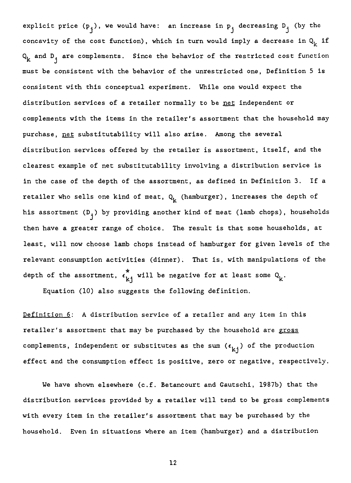explicit price  $(p_i)$ , we would have: an increase in  $p_j$  decreasing  $D_j$  (by the concavity of the cost function), which in turn would imply a decrease in  $Q_k$  if  $Q_k$  and  $D_i$  are complements. Since the behavior of the restricted cost function must be consistent with the behavior of the unrestricted one, Definition 5 is consistent with this conceptual experiment. While one would expect the distribution services of a retailer normally to be net independent or complements with the items in the retailer's assortment that the household may purchase, net substitutability will also arise. Among the several distribution services offered by the retailer is assortment, itself, and the clearest example of net substitutability involving a distribution service is in the case of the depth of the assortment, as defined in Definition 3. If a retailer who sells one kind of meat,  $Q_k$  (hamburger), increases the depth of his assortment  $(D_i)$  by providing another kind of meat (lamb chops), households then have a greater range of choice. The result is that some households, at least, will now choose lamb chops instead of hamburger for given levels of the relevant consumption activities (dinner). That is, with manipulations of the depth of the assortment,  $\epsilon_{\mathbf{k} \mathbf{j}}^{\mathbf{v}}$  will be negative for at least some  $\mathrm{Q}_{\mathbf{k}}^{\mathbf{v}}$ .

Equation (10) also suggests the following definition.

Definition 6: A distribution service of a retailer and any item in this retailer's assortment that may be purchased by the household are gross complements, independent or substitutes as the sum  $(\epsilon_{k,j})$  of the production effect and the consumption effect is positive, zero or negative, respectively.

We have shown elsewhere (c.f. Betancourt and Gautschi, 1987b) that the distribution services provided by a retailer will tend to be gross complements with every item in the retailer's assortment that may be purchased by the household. Even in situations where an item (hamburger) and a distribution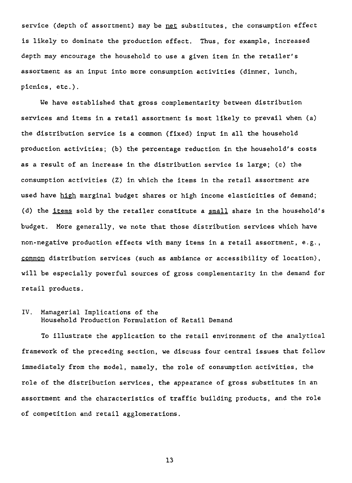service (depth of assortment) may be net substitutes, the consumption effect is likely to dominate the production effect. Thus, for example, increased depth may encourage the household to use a given item in the retailer's assortment as an input into more consumption activities (dinner, lunch, picnics, etc.).

We have established that gross complementarity between distribution services and items in a retail assortment is most likely to prevail when (a) the distribution service is a common (fixed) input in all the household production activities; (b) the percentage reduction in the household's costs as a result of an increase in the distribution service is large; (c) the consumption activities (Z) in which the items in the retail assortment are used have high marginal budget shares or high income elasticities of demand; (d) the items sold by the retailer constitute a small share in the household's budget. More generally, we note that those distribution services which have non-negative production effects with many items in a retail assortment, e.g., common distribution services (such as ambiance or accessibility of location), will be especially powerful sources of gross complementarity in the demand for retail products.

# IV. Managerial Implications of the Household Production Formulation of Retail Demand

To illustrate the application to the retail environnent of the analytical framework of the preceding section, we discuss four central issues that follow immediately from the model, namely, the role of consumption activities, the role of the distribution services, the appearance of gross substitutes in an assortment and the characteristics of traffic building products, and the role of competition and retail aggiomerations.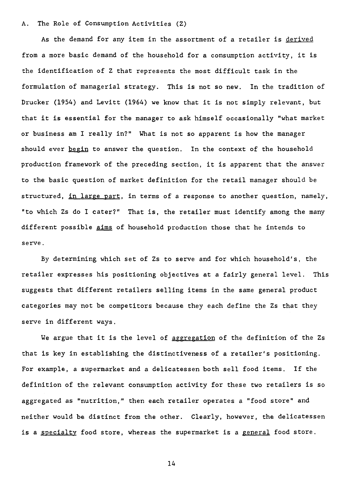#### A. The Role of Consumption Activities (Z)

As the demand for any item in the assortment of a retailer is derived from a more basic demand of the household for a consumption activity, it is the identification of Z that represents the most difficult task in the formulation of managerial strategy. This is not so new. In the tradition of Drucker (1954) and Levitt (1964) we know that it is not simply relevant, but that it is essential for the manager to ask himself occasionally "what market or business am I really in?" What is not so apparent is how the manager should ever begin to answer the question. In the context of the household production framework of the preceding section, it is apparent that the answer to the basic question of market definition for the retail manager should be structured, in large part, in terms of a response to another question, namely, "to which Zs do I cater?" That is, the retailer must identify among the many different possible aims of household production those that he intends to serve.

By determining which set of Zs to serve and for which household's, the retailer expresses his positioning objectives at a fairly general level. This suggests that different retailers selling items in the same general product categories may not be competitors because they each define the Zs that they serve in different ways.

We argue that it is the level of aggregation of the definition of the Zs that is key in establishing the distinctiveness of a retailer's positioning. For example, a supermarket and a delicatessen both sell food items. If the definition of the relevant consumption activity for these two retailers is so aggregated as "nutrition," then each retailer operates a "food store" and neither would be distinct from the other. Clearly, however, the delicatessen is a specialty food store, whereas the supermarket is a general food store.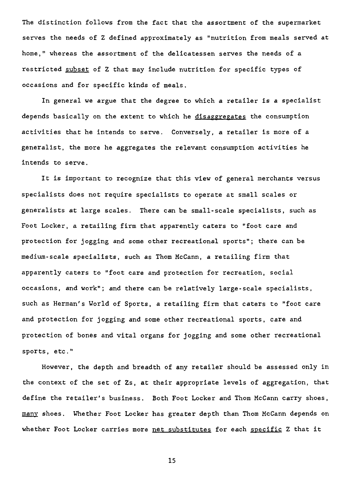The distinction follows from the fact that the assortment of the supermarket serves the needs of Z defined approximately as "nutrition from meals served at home," whereas the assortment of the delicatessen serves the needs of a restricted subset of Z that may include nutrition for specific types of occasions and for specific kinds of meals.

In general we argue that the degree to which a retailer is a specialist depends basically on the extent to which he disaggregates the consumption activities that he intends to serve. Conversely, a retailer is more of a generalist, the more he aggregates the relevant consumption activities he intends to serve.

It is important to recognize that this view of general merchants versus specialists does not require specialists to operate at small scales or generalists at large scales. There can be small-scale specialists, such as Foot Locker, a retailing firm that apparently caters to "foot care and protection for jogging and some other recreational sports"; there can be medium-scale specialists, such as Thom McCann, a retailing firm that apparently caters to "foot care and protection for recreation, social occasions, and work"; and there can be relatively large-scale specialists, such as Herman's World of Sports, a retailing firm that caters to "foot care and protection for jogging and some other recreational sports, care and protection of bones and vital organs for jogging and some other recreational sports, etc."

However, the depth and breadth of any retailer should be assessed only in the context of the set of Zs, at their appropriate levels of aggregation, that define the retailer's business. Both Foot Locker and Thom McCann carry shoes, many shoes. Whether Foot Locker has greater depth than Thom McCann depends on whether Foot Locker carries more net substitutes for each specific Z that it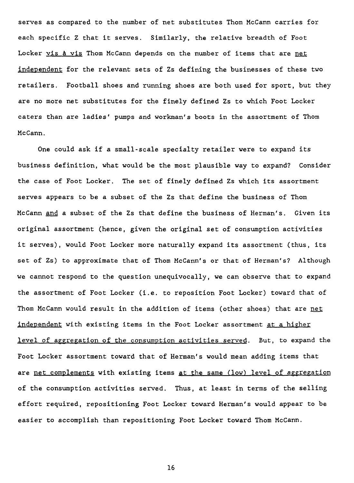serves as compared to the number of net substitutes Thom McCann carries for each specific Z that it serves. Similarly, the relative breadth of Foot Locker vis à vis Thom McCann depends on the number of items that are net independent for the relevant sets of Zs defining the businesses of these two retailers. Football shoes and running shoes are both used for sport, but they are no more net substitutes for the finely defined Zs to which Foot Locker caters than are ladies' pumps and workman's boots in the assortment of Thom McCann.

One could ask if a small-scale specialty retailer were to expand its business definition, what would be the most plausible way to expand? Consider the case of Foot Locker. The set of finely defined Zs which its assortment serves appears to be a subset of the Zs that define the business of Thom McCann and a subset of the Zs that define the business of Herman's. Given its original assortment (hence, given the original set of consumption activities it serves), would Foot Locker more naturally expand its assortment (thus, its set of Zs) to approximate that of Thom McCann's or that of Herman's? Although we cannot respond to the question unequivocally, we can observe that to expand the assortment of Foot Locker (i.e. to reposition Foot Locker) toward that of Thom McCann would result in the addition of items (other shoes) that are net independent with existing items in the Foot Locker assortment at a higher level of aggregation of the consumption activities served. But, to expand the Foot Locker assortment toward that of Herman's would mean adding items that are net complements with existing items at the same (low) level of aggregation of the consumption activities served. Thus, at least in terms of the selling effort required, repositioning Foot Locker toward Herman's would appear to be easier to accomplish than repositioning Foot Locker toward Thom McCann.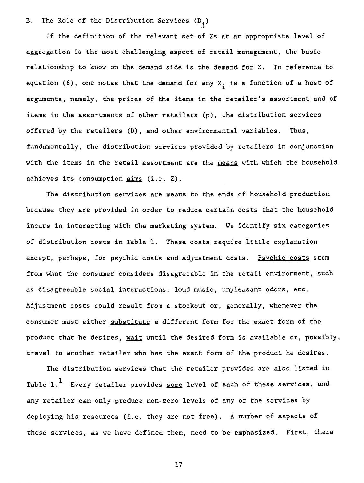B. The Role of the Distribution Services  $(D_i)$ 

If the definition of the relevant set of Zs at an appropriate level of aggregation is the most challenging aspect of retail management, the basic relationship to know on the demand side is the demand for Z. In reference to equation (6), one notes that the demand for any  $Z_i$  is a function of a host of arguments, namely, the prices of the items in the retailer's assortment and of items in the assortments of other retailers (p), the distribution services offered by the retailers (D), and other environmental variables. Thus, fundamentally, the distribution services provided by retailers in conjunction with the items in the retail assortment are the means with which the household achieves its consumption aims (i.e. Z).

The distribution services are means to the ends of household production because they are provided in order to reduce certain costs that the household incurs in interacting with the marketing system. We identify six categories of distribution costs in Table 1. These costs require little explanation except, perhaps, for psychic costs and adjustment costs. Psychic costs stem from what the consumer considers disagreeable in the retail environnent, such as disagreeable social interactions, loud music, unpleasant odors, etc. Adjustment costs could result from a stockout or, generally, whenever the consumer must either substitute a different form for the exact form of the product that he desires, wait until the desired form is available or, possibly, travel to another retailer who has the exact form of the product he desires.

The distribution services that the retailer provides are also listed in Table  $1.\overline{1}$  Every retailer provides <u>some</u> level of each of these services, and any retailer can only produce non-zero levels of any of the services by deploying his resources (i.e. they are not free). A number of aspects of these services, as we have defined them, need to be emphasized. First, there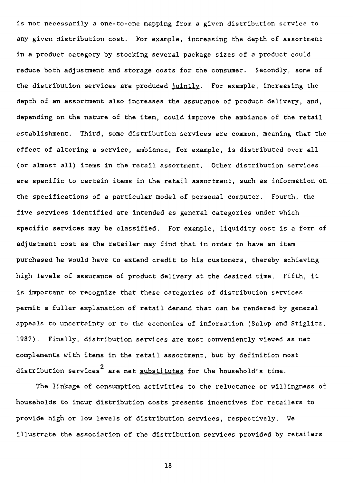is not necessarily a one-to-one mapping from a given distribution service to any given distribution cost. For example, increasing the depth of assortment in a product category by stocking several package sizes of a product could reduce both adjustment and storage costs for the consumer. Secondly, some of the distribution services are produced jointly. For example, increasing the depth of an assortment also increases the assurance of product delivery, and, depending on the nature of the item, could improve the ambiance of the retail establishment. Third, some distribution services are common, meaning that the effect of altering a service, ambiance, for example, is distributed over ail (or almost ail) items in the retail assortment. Other distribution services are specific to certain items in the retail assortment, such as information on the specifications of a particular model of personal computer. Fourth, the five services identified are intended as general categories under which specific services may be classified. For example, liquidity cost is a form of adjustment cost as the retailer may find that in order to have an item purchased he would have to extend credit to his customers, thereby achieving high levels of assurance of product delivery at the desired time. Fifth, it is important to recognize that these categories of distribution services permit a fuller explanation of retail demand that can be rendered by general appeals to uncertainty or to the economics of information (Salop and Stiglitz, 1982). Finally, distribution services are most conveniently viewed as net complements with items in the retail assortment, but by definition most distribution services<sup>2</sup> are net  $substitutes$  for the household's time.

The linkage of consumption activities to the reluctance or willingness of households to incur distribution costs presents incentives for retailers to provide high or low levels of distribution services, respectively. We illustrate the association of the distribution services provided by retailers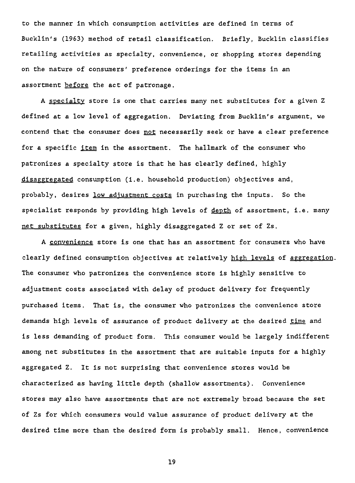to the manner in which consumption activities are defined in terms of Bucklin's (1963) method of retail classification. Briefly, Bucklin classifies retailing activities as specialty, convenience, or shopping stores depending on the nature of consumers' preference orderings for the items in an assortment **before** the act of patronage.

A specialty store is one that carries many net substitutes for a given Z defined at a low level of aggregation. Deviating from Bucklin's argument, we contend that the consumer does not necessarily seek or have **a** clear preference for a specific item in the assortment. The hallmark of the consumer who patronizes a specialty store is that he has clearly defined, highly disaggregated consumption (i.e. household production) objectives and, probably, desires low adjustment costs in purchasing the inputs. So the specialist responds by providing high levels of depth of assortment, i.e. many net substitutes for a given, highly disaggregated Z or set of Zs.

A convenience store is one that has an assortment for consumers who have clearly defined consumption objectives at relatively high levels of aggregation. The consumer who patronizes the convenience store is highly sensitive to adjustment costs associated with delay of product delivery for frequently purchased items. That is, the consumer who patronizes the convenience store demands high levels of assurance of product delivery at the desired time and is less demanding of product form. This consumer would be largely indifferent among net substitutes in the assortment that are suitable inputs for a highly aggregated Z. It is not surprising that convenience stores would be characterized as having little depth (shallow assortments). Convenience stores may also have assortments that are not extremely broad because the set of Zs for which consumers would value assurance of product delivery at the desired time more than the desired form is probably small. Hence, convenience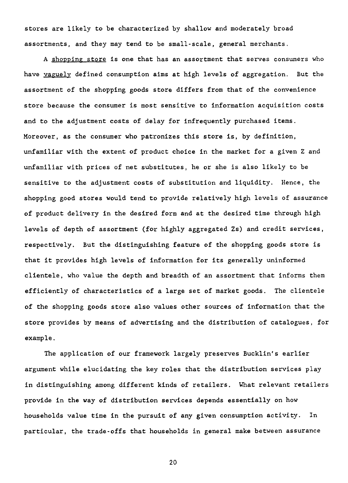stores are likely to be characterized by shallow and moderately broad assortments, and they may tend to be small-scale, general merchants.

A shopping store is one that has an assortment that serves consumers who have vaguely defined consumption aims at high levels of aggregation. But the assortment of the shopping goods store differs from that of the convenience store because the consumer is most sensitive to information acquisition costs and to the adjustment costs of delay for infrequently purchased items. Moreover, as the consumer who patronizes this store is, by definition, unfamiliar with the extent of product choice in the market for a given Z and unfamiliar with prices of net substitutes, he or she is also likely to be sensitive to the adjustment costs of substitution and liquidity. Hence, the shopping good stores would tend to provide relatively high levels of assurance of product delivery in the desired form and at the desired time through high levels of depth of assortment (for highly aggregated Zs) and credit services, respectively. But the distinguishing feature of the shopping goods store is that it provides high levels of information for its generally uninformed clientele, who value the depth and breadth of an assortment that informs them efficiently of characteristics of a large set of market goods. The clientele of the shopping goods store also values other sources of information that the store provides by means of advertising and the distribution of catalogues, for example.

The application of our framework largely preserves Bucklin's earlier argument while elucidating the key roles that the distribution services play in distinguishing among different kinds of retailers. What relevant retailers provide in the way of distribution services depends essentially on how households value time in the pursuit of any given consumption activity. In particular, the trade-offs that households in general make between assurance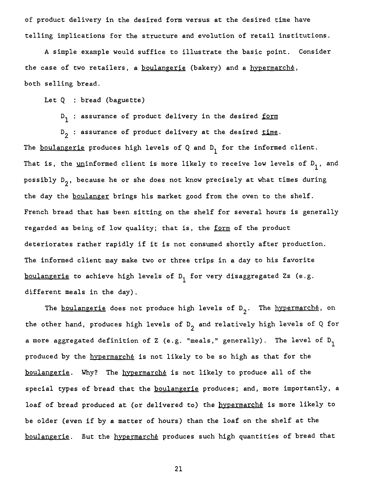**of product delivery in the desired form versus at the desired time have telling implications for the structure and evolution of retail institutions.** 

**A simple example would suffice to illustrate the basic point. Consider the case of two retailers, a boulangerie (bakery) and a hypermarché, both selling bread.** 

Let Q : bread (baguette)

**D1 ' • assurance of product delivery in the desired form** 

**D 2 : assurance of product delivery at the desired time.**  The <u>boulangerie</u> produces high levels of  $Q$  and  $D_1$  for the informed client. That is, the <u>un</u>informed client is more likely to receive low levels of D<sub>1</sub>, and possibly D<sub>2</sub>, because he or she does not know precisely at what times during **the day the boulanger brings his market good from the oven to the shelf. French bread that has been sitting on the shelf for several hours is generally regarded as being of low quality; that is, the form of the product deteriorates rather rapidly if it is not consumed shortly after production. The informed client may make two or three trips in a day to his favorite boulangerie** to achieve high levels of D<sub>1</sub> for very disaggregated Zs (e.g. **different meals in the day).** 

The **boulangerie** does not produce high levels of D<sub>2</sub>. The **hypermarche**, on **the other hand, produces high levels of D 2 and relatively high levels of Q for a** more aggregated definition of Z (e.g. "meals," generally). The level of D<sub>1</sub> **produced by the hypermarché is not likely to be so high as that for the boulangerie. Why? The hypermarché is not likely to produce ail of the special types of bread that the boulangerie produces; and, more importantly, a loaf of bread produced at (or delivered to) the hypermarché is more likely to be older** (even **if by a matter of hours) than the loaf on the shelf at the**  boulangerie. But the hypermarché produces such high quantities of bread that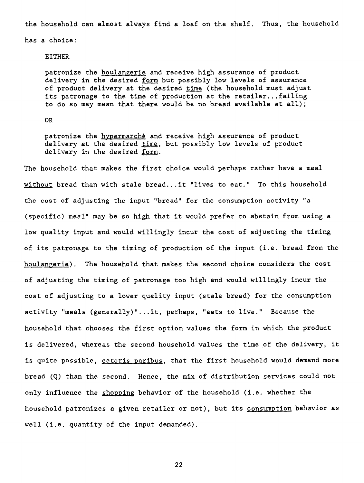the household can almost always find a loaf on the shelf. Thus, the household

has a choice:

# EITHER

patronize the boulangerie and receive high assurance of product delivery in the desired form but possibly low levels of assurance of product delivery at the desired time (the household must adjust its patronage to the time of production at the retailer...failing to do so may mean that there would be no bread available at ail);

OR

patronize the hypermarché and receive high assurance of product delivery at the desired time, but possibly low levels of product delivery in the desired form.

The household that makes the first choice would perhaps rather have a meal without bread than with stale bread...it "lives to eat." To this household the cost of adjusting the input "bread" for the consumption activity "a (specific) meal" may be so high that it would prefer to abstain from using a low quality input and would willingly incur the cost of adjusting the timing of its patronage to the timing of production of the input (i.e. bread from the boulangerie). The household that makes the second choice considers the cost of adjusting the timing of patronage too high and would willingly incur the cost of adjusting to a louver quality input (stale bread) for the consumption activity "meals (generally)"...it, perhaps, "eats to live." Because the household that chooses the first option values the form in which the product is delivered, whereas the second household values the time of the delivery, it is quite possible, ceteris paribus, that the first household would demand more bread (Q) than the second. Hence, the mix of distribution services could not only influence the shopping behavior of the household (i.e. whether the household patronizes a given retailer or not), but its consumption behavior as well (i.e. quantity of the input demanded).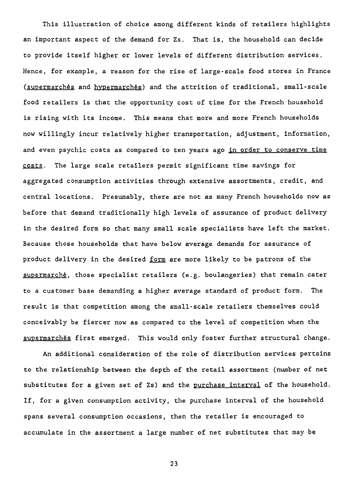This illustration of choice among different kinds of retailers highlights an important aspect of the demand for Zs. That is, the household can decide to provide itself higher or lower levels of different distribution services. Hence, for example, a reason for the rise of large-scale food stores in France (supermarchés and hypermarchés) and the attrition of traditional, small-scale food retailers is that the opportunity cost of time for the French household is rising with its income. This means that more and more French households now willingly incur relatively higher transportation, adjustment, information, and even psychic costs as compared to ten years ago in order to conserve time costs. The large scale retailers permit significant time savings for aggregated consumption activities through extensive assortments, credit, and central locations. Presumably, there are not as many French households now as before that demand traditionally high levels of assurance of product delivery in the desired form so that many small scale specialists have left the market. Because those households that have below average demands for assurance of product delivery in the desired form are more likely to be patrons of the supermarché, those specialist retailers (e.g. boulangeries) that remain cater to a customer base demanding a higher average standard of product form. The resuit is that competition among the small-scale retailers themselves could conceivably be fiercer now as compared to the level of competition when the supermarchés first emerged. This would only foster further structural change.

An additional consideration of the role of distribution services pertains to the relationship between the depth of the retail assortment (number of net substitutes for a given set of Zs) and the purchase interval of the household. If, for a given consumption activity, the purchase interval of the household spans several consumption occasions, then the retailer is encouraged to accumulate in the assortment a large number of net substitutes that may be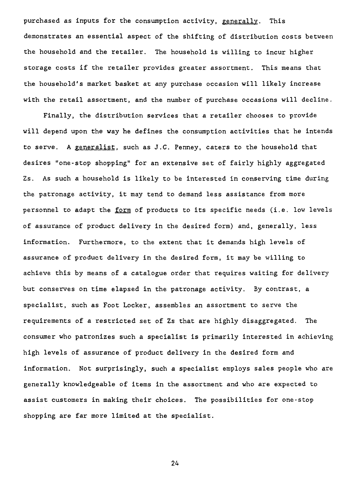purchased as inputs for the consumption activity, generally. This demonstrates an essential aspect of the shifting of distribution costs between the household and the retailer. The household is willing to incur higher storage costs if the retailer provides greater assortment. This means that the household's market basket at any purchase occasion will likely increase with the retail assortment, and the number of purchase occasions will decline.

Finally, the distribution services that a retailer chooses to provide will depend upon the way he defines the consumption activities that he intends to serve. A generalist, such as J.C. Penney, caters to the household that desires "one-stop shopping" for an extensive set of fairly highly aggregated Zs. As such a household is likely to be interested in conserving time during the patronage activity, it may tend to demand less assistance from more personnel to adapt the form of products to its specific needs (i.e. low levels of assurance of product delivery in the desired form) and, generally, less information. Furthermore, to the extent that it demands high levels of assurance of product delivery in the desired form, it may be willing to achieve this by means of a catalogue order that requires waiting for delivery but conserves on time elapsed in the patronage activity. By contrast, a specialist, such as Foot Locker, assembles an assortment to serve the requirements of a restricted set of Zs that are highly disaggregated. The consumer who patronizes such a specialist is primarily interested in achieving high levels of assurance of product delivery in the desired form and information. Not surprisingly, such a specialist employs sales people who are generally knowledgeable of items in the assortment and who are expected to assist customers in making their choices. The possibilities for one-stop shopping are far more limited at the specialist.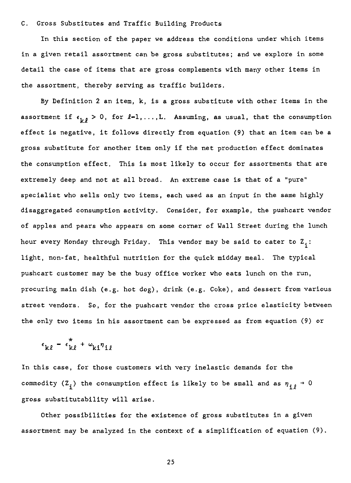## C. Cross Substitutes and Traffic Building Products

In this section of the paper we address the conditions under which items in a given retail assortment can be gross substitutes; and we explore in some detail the case of items that are gross complements with many other items in the assortment, thereby serving as traffic builders.

By Definition 2 an item, k, is a gross substitute with other items in the assortment if  $\epsilon_{k\ell} > 0$ , for  $l=1,\ldots,L$ . Assuming, as usual, that the consumption effect is negative, it follows directly from equation (9) that an item can be a gross substitute for another item only if the net production effect dominates the consumption effect. This is most likely to occur for assortments that are extremely deep and not at all broad. An extreme case is that of a "pure" specialist who **sells** only two items, each used as an input in the same highly disaggregated consumption activity. Consider, for example, the pushcart vendor of apples and pears who appears on some corner of Wall Street during the lunch hour every Monday through Friday. This vendor may be said to cater to  $Z_i$ : light, non-fat, healthful nutrition for the quick midday meai. The typical pushcart customer may be the busy office worker who eats lunch on the run, procuring main dish (e.g. hot dog), drink (e.g. Coke), and dessert from various street vendors. So, for the pushcart vendor the cross price elasticity between the only two items in his assortment can be expressed as from equation (9) or

$$
\epsilon_{k\ell} = \epsilon_{k\ell}^* + \omega_{ki} n_{i\ell}
$$

In this case, for those customers with very inelastic demands for the commodity (Z<sub>i</sub>) the consumption effect is likely to be small and as  $\eta_{i\ell} \rightarrow 0$ gross substitutability will arise.

Other possibilities for the existence of gross substitutes in a given assortment may be analyzed in the context of a simplification of equation (9).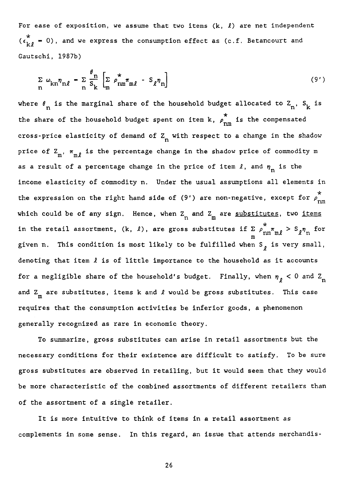For ease of exposition, we assume that two items  $(k, \ell)$  are net independent  $(\epsilon_{k\ell}^* = 0)$ , and we express the consumption effect as (c.f. Betancourt and Gautschi, 1987b)

$$
\sum_{n} \omega_{kn} \eta_{n\ell} = \sum_{n} \frac{\theta_n}{S_k} \left[ \sum_{m} \rho_{nm}^* \pi_{m\ell} - S_{\ell} \eta_n \right]
$$
 (9')

where  $\theta_{\bf n}$  is the marginal share of the household budget allocated to  ${\bf Z_n}$ ,  ${\bf S_k}$  is the share of the household budget spent on item k,  $\rho_{\rm nm}^{\rm m}$  is the compensated cross-price elasticity of demand of  $Z_n$  with respect to a change in the shadow price of  $Z_{m}$ ,  $\pi_{m}$  is the percentage change in the shadow price of commodity m as a result of a percentage change in the price of item  $\ell$ , and  $\eta_n$  is the income elasticity of commodity n. Under the usual assumptions all elements in the expression on the right hand side of (9') are non-negative, except for  $\rho_{nm}^*$ nm which could be of any sign. Hence, when  $\texttt{Z}_\text{n}$  and  $\texttt{Z}_\text{m}$  are <u>substitutes</u>, two <u>items</u> in the retail assortment,  $(k, \ell)$ , are gross substitutes if  $\sum_{m} \rho_{nm}^m \pi_{m\ell} > S_{\ell} \eta_n$  for given n. This condition is most likely to be fulfilled when  $S_{\rho}$  is very small, denoting that item  $l$  is of little importance to the household as it accounts for a negligible share of the household's budget. Finally, when  $\eta_{\ell} < 0$  and  $Z_{\rm n}$ and  $Z_{\rm m}$  are substitutes, items  $k$  and  $\ell$  would be gross substitutes. This case requires that the consumption activities be inferior goods, a phenomenon generally recognized as rare in economic theory.

To summarize, gross substitutes can arise in retail assortments but the necessary conditions for their existence are difficult to satisfy. To be sure gross substitutes are observed in retailing, but it would seem that they would be more characteristic of the combined assortments of different retailers than of the assortment of a single retailer.

It is more intuitive to think of items in a retail assortment as complements in some sense. In this regard, an issue that attends merchandis-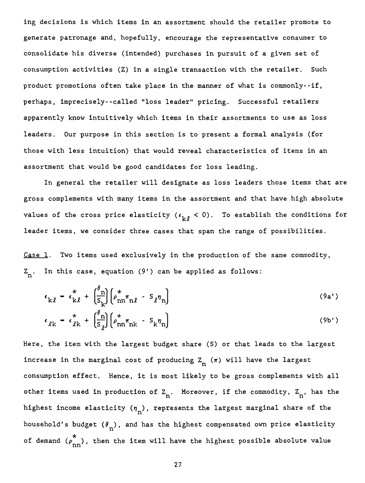ing decisions is which items in an assortment should the retailer promote to generate patronage and, hopefully, encourage the representative consumer to consolidate his diverse (intended) purchases in pursuit of a given set of consumption activities (Z) in a single transaction with the retailer. Such product promotions often take place in the manner of what is commonly--if, perhaps, imprecisely--called "loss leader" pricing. Successful retailers apparently know intuitively which items in their assortments to use as loss leaders. Our purpose in this section is to present a formal analysis (for those with less intuition) that would reveal characteristics of items in an assortment that would be good candidates for loss leading.

In general the retailer will designate as loss leaders those items that are gross complements with many items in the assortment and that have high absolute values of the cross price elasticity ( $\epsilon_{\nu\rho}$  < 0). To establish the conditions for leader items, we consider three cases that span the range of possibilities.

Case 1. Two items used exclusively in the production of the same commodity,  $Z_n$ . In this case, equation (9') can be applied as follows:

$$
\epsilon_{k\ell} = \epsilon_{k\ell}^* + \left(\frac{\theta_n}{s_k}\right) \left(\rho_{nn}^* \pi_{n\ell} - s_{\ell} \eta_n\right)
$$
 (9a')

$$
\epsilon_{\ell k} = \epsilon_{\ell k}^{*} + \left(\frac{\sigma_n}{s_{\ell}}\right) \left(\rho_{nn}^{*} \pi_{nk} - s_{k} \eta_{n}\right)
$$
 (9b')

Here, the item with the largest budget share (S) or that leads to the largest increase in the marginal cost of producing  $Z_n(\pi)$  will have the largest consumption effect. Hence, it is most likely to be gross complements with all other items used in production of  $Z_n$ . Moreover, if the commodity,  $Z_n$ , has the highest income elasticity  $(\eta_n)$ , represents the largest marginal share of the household's budget  $(\theta_n^{\phantom{\dagger}})$ , and has the highest compensated own price elasticity of demand  $(\rho_{\rm nn}^{\rm m})$ , then the item will have the highest possible absolute value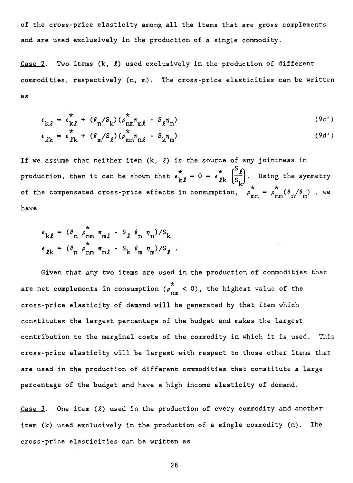of the cross-price elasticity among ail the items that are gross complements and are used exclusively in the production of a single commodity.

Case 2. Two items  $(k, \ell)$  used exclusively in the production of different commodities, respectively (n, m). The cross-price elasticities can be written as

$$
\epsilon_{k\ell} = \epsilon_{k\ell}^* + (\theta_n / S_k) (\rho_{nm}^* \pi_{m\ell} - S_\ell \eta_n)
$$
\n
$$
(\theta c')
$$

$$
\epsilon_{\ell k} = \epsilon_{\ell k}^{*} + (\theta_{m}/S_{\ell})(\rho_{mn}^{*}\tau_{n\ell} - S_{k}\eta_{m})
$$
 (9d')

If we assume that neither item  $(k, \ell)$  is the source of any jointness in S production, then it can be shown that  $\epsilon_{\bf k\ell}^{\bf k} = 0 - \epsilon_{\ell\bf k}^{\bf k}$ \*  $\mathbf{k} \left[ \frac{\mathbf{s}}{\mathbf{s}_1} \right]$ . Using the symmetry of the compensated cross-price effects in consumption,  $\rho_{mn}^{\dagger} = \rho_{nm}^{\dagger}(\theta_n/\theta_m)$  , we have

$$
\epsilon_{k\ell} - (\theta_n \rho_{nm}^* \pi_{m\ell} - S_\ell \theta_n \eta_n) / S_k
$$
  

$$
\epsilon_{\ell k} - (\theta_n \rho_{nm}^* \pi_{n\ell} - S_k \theta_m \eta_m) / S_\ell.
$$

Given that any two items are used in the production of commodities that are net complements in consumption  $\begin{array}{c} \n \nearrow \\ \n \text{nm} \n \end{array}$  < 0), the highest value of the cross-price elasticity of demand will be generated by that item which constitutes the largest percentage of the budget and makes the largest contribution to the marginal costs of the commodity in which it is used. This cross-price elasticity will be largest with respect to those other items that are used in the production of different commodities that constitute a large percentage of the budget and have a high income elasticity of demand.

Case  $3$ . One item  $(l)$  used in the production of every commodity and another item (k) used exclusively in the production of a single commodity (n). The cross-price elasticities can be written as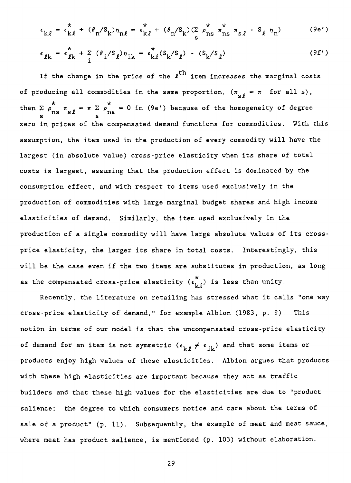$$
\epsilon_{k\ell} - \epsilon_{k\ell}^* + (\theta_n / S_k) \eta_{n\ell} - \epsilon_{k\ell}^* + (\theta_n / S_k) (\sum_{s} \rho_{ns}^* \pi_{ns}^* \pi_{s\ell} - S_\ell \eta_n)
$$
 (9e')

$$
\epsilon_{\ell k} - \epsilon_{\ell k}^* + \sum_{i} (\theta_i / S_{\ell}) \eta_{ik} - \epsilon_{k\ell}^* (S_k / S_{\ell}) - (S_k / S_{\ell})
$$
 (9f')

If the change in the price of the  $\ell^{\text{th}}$  item increases the marginal costs of producing all commodities in the same proportion,  $(\pi_{\leq \rho} - \pi$  for all s), then  $\sum \rho_{\text{ns}} = \pi \sum \rho_{\text{ns}} = 0$  in (9e') because of the homogeneity of degree zero in prices of the compensated demand functions for commodities. With this assumption, the item used in the production of every commodity will have the largest (in absolute value) cross-price elasticity when its share of total costs is largest, assuming that the production effect is dominated by the consumption effect, and with respect to items used exclusively in the production of commodities with large marginal budget shares and high income elasticities of demand. Similarly, the item used exclusively in the production of a single commodity will have large absolute values of its crossprice elasticity, the larger its share in total costs. Interestingly, this will be the case even if the two items are substitutes in production, as long as the compensated cross-price elasticity  $\begin{pmatrix} \epsilon_{k\ell}^* \end{pmatrix}$  is less than unity.

Recently, the literature on retailing has stressed what it calls "one way cross-price elasticity of demand," for example Albion (1983, p. 9). This notion in terms of our model is that the uncompensated cross-price elasticity of demand for an item is not symmetric  $(\epsilon_{k\ell} \neq \epsilon_{\ell k})$  and that some items or products enjoy high values of these elasticities. Albion argues that products with these high elasticities are important because they act as traffic builders and that these high values for the elasticities are due to "product salience: the degree to which consumers notice and care about the terms of sale of a product" (p. 11). Subsequently, the example of meat and meat sauce, where meat has product salience, is mentioned (p. 103) without elaboration.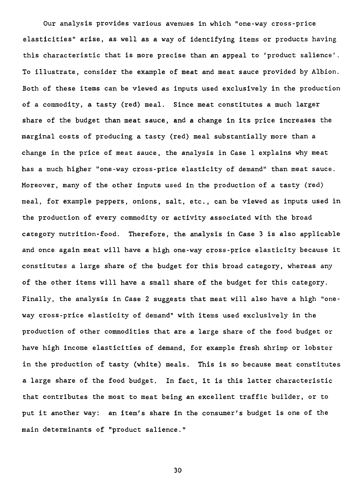Our analysis provides various avenues in which "one-way cross-price elasticities" arise, as well as a way of identifying items or products having this characteristic that is more precise than an appeal to 'product salience'. To illustrate, consider the example of meat and meat sauce provided by Albion. Both of these items can be viewed as inputs used exclusively in the production of a commodity, a tasty (red) meal. Since meat constitutes a much larger share of the budget than meat sauce, and a change in its price increases the marginal costs of producing a tasty (red) meal substantially more than a change in the price of meat sauce, the analysis in Case 1 explains why meat has a much higher "one-way cross-price elasticity of demand" than meat sauce. Moreover, many of the other inputs used in the production of a tasty (red) meal, for example peppers, onions, sait, etc., can be viewed as inputs used in the production of every commodity or activity associated with the broad category nutrition-food. Therefore, the analysis in Case 3 is also applicable and once again meat will have a high one-way cross-price elasticity because it constitutes a large share of the budget for this broad category, whereas any of the other items will have a small share of the budget for this category. Finally, the analysis in Case 2 suggests that meat will also have a high "oneway cross-price elasticity of demand" with items used exclusively in the production of other commodities that are a large share of the food budget or have high income elasticities of demand, for example fresh shrimp or lobster in the production of tasty (white) meals. This is so because meat constitutes a large share of the food budget. In fact, it is this latter characteristic that contributes the most to meat being an excellent traffic builder, or to put it another way: an item's share in the consumer's budget is one of the main determinants of "product salience."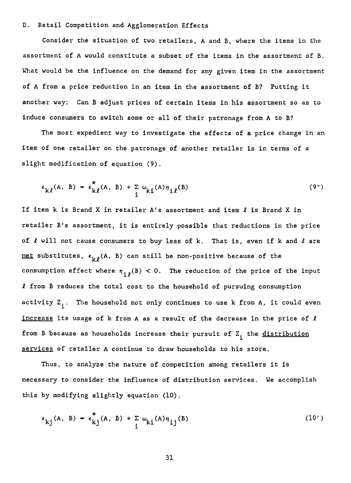## D. Retail Competition and Agglomeration Effects

Consider the situation of two retailers, A and B, where the items in the assortment of A would constitute a subset of the items in the assortment of B. What would be the influence on the demand for any given item in the assortment of A from a price reduction in an item in the assortment of B? Putting it another way: Can B adjust prices of certain items in his assortment so as to induce consumers to switch some or ail of their patronage from A to B?

The most expedient way to investigate the effects of a price change in an item of one retailer on the patronage of another retailer is in terms of a slight modification of equation (9).

$$
\epsilon_{k\ell}(A, B) = \epsilon_{k\ell}^*(A, B) + \sum_{i} \omega_{ki}(A) \eta_{i\ell}(B)
$$
 (9")

If item k is Brand X in retailer A's assortment and item  $\ell$  is Brand X in retailer B's assortment, it is entirely possible that reductions in the price of  $\ell$  will not cause consumers to buy less of k. That is, even if k and  $\ell$  are net substitutes,  $\epsilon_{\nu\rho}$ (A, B) can still be non-positive because of the consumption effect where  $\eta_{i\theta}(B) < 0$ . The reduction of the price of the input  $l$  from B reduces the total cost to the household of pursuing consumption activity  $Z_i$ . The household not only continues to use k from A, it could even increase its usage of  $k$  from A as a result of the decrease in the price of  $l$ from B because as households increase their pursuit of  $Z_i$  the distribution services of retailer A continue to draw households to his store.

Thus, to analyze the nature of competition among retailers it is necessary to consider the influence of distribution services. We accomplish this by modifying slightly equation (10).

$$
\epsilon_{kj}(A, B) = \epsilon_{kj}^{*}(A, B) + \sum_{i} \omega_{ki}(A) \eta_{ij}(B)
$$
 (10')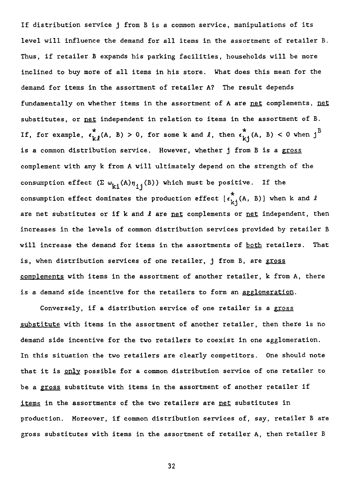If distribution service j from B is a common service, manipulations of its level will influence the demand for all items in the assortment of retailer B. Thus, if retailer B expands his parking facilities, households will be more inclined to buy more of ail items in his store. What does this mean for the demand for items in the assortment of retailer A? The result depends fundamentally on whether items in the assortment of A are net complements, net substitutes, or pet independent in relation to items in the assortment of B. If, for example,  $\epsilon_{k,l}^{*}(A, B) > 0$ , for some k and  $l$ , then  $\epsilon_{k,l}^{*}(A, B) < 0$  when j<sup>B</sup> is a common distribution service. However, whether j from B is a gross complement with any k from A will ultimately depend on the strength of the consumption effect  $(\Sigma \omega_{ki}(A)\eta_{ij}(B))$  which must be positive. If the consumption effect dominates the production effect  $\begin{bmatrix} \epsilon_k^*\\ k_i \end{bmatrix}$  (A, B) when k and  $l$ are net substitutes or if  $k$  and  $l$  are net complements or net independent, then increases in the levels of common distribution services provided by retailer B will increase the demand for items in the assortments of both retailers. That is, when distribution services of one retailer, j from B, are gross complements with items in the assortment of another retailer, k from A, there is a demand side incentive for the retailers to form an agglomeration.

Conversely, if a distribution service of one retailer is a gross substitute with items in the assortment of another retailer, then there is no demand side incentive for the two retailers to coexist in one agglomeration. In this situation the two retailers are clearly competitors. One should note that it is only possible for a common distribution service of one retailer to be a gross substitute with items in the assortment of another retailer if items in the assortments of the two retailers are net substitutes in production. Moreover, if common distribution services of, say, retailer B are gross substitutes with items in the assortment of retailer A, then retailer B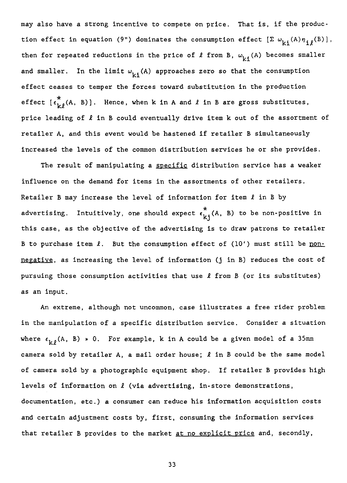may also have a strong incentive to compete on price. That is, if the production effect in equation (9") dominates the consumption effect  $[\Sigma \omega_{\mathbf{k} i}(\mathbf{A})\eta_{ij}(\mathbf{B})]$ , then for repeated reductions in the price of  $\ell$  from B,  $\omega_{k,i}$  (A) becomes smaller and smaller. In the limit  $\omega_{k,i}(A)$  approaches zero so that the consumption effect ceases to temper the forces toward substitution in the production effect  $\begin{bmatrix} \epsilon_{k\ell}^* (\mathbf{A}, \mathbf{B}) \end{bmatrix}$ . Hence, when k in A and  $\ell$  in B are gross substitutes, price leading of  $\ell$  in B could eventually drive item k out of the assortment of retailer A, and this event would be hastened if retailer B simultaneously increased the levels of the common distribution services he or she provides.

The result of manipulating a specific distribution service has a weaker influence on the demand for items in the assortments of other retailers. Retailer B may increase the level of information for item  $\ell$  in B by advertising. Intuitively, one should expect  $\epsilon_{k,j}^{\star}(A, B)$  to be non-positive in this case, as the objective of the advertising is to draw patrons to retailer B to purchase item  $\ell$ . But the consumption effect of (10') must still be nonnegative, as increasing the level of information (j in B) reduces the cost of pursuing those consumption activities that use  $\ell$  from B (or its substitutes) as an input.

An extreme, although not uncommon, case illustrates a free rider problem in the manipulation of a specific distribution service. Consider a situation where  $\epsilon_{k,\theta}$ (A, B)  $\ast$  0. For example, k in A could be a given model of a 35mm camera sold by retailer A, **a** mail order bouse; **1** in B could be the same model of camera sold by a photographic equipment shop. If retailer B provides high levels of information on **1** (via advertising, in-store demonstrations, documentation, etc.) a consumer can reduce his information acquisition costs and certain adjustment costs by, first, consuming the information services that retailer B provides to the market at no explicit price and, secondly,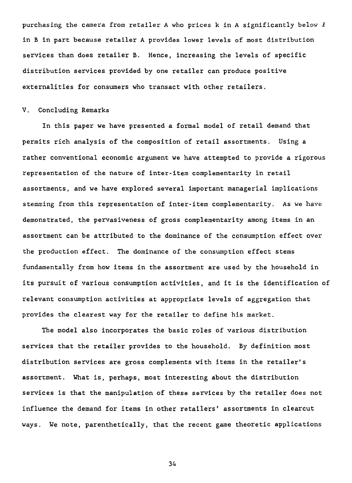purchasing the camera from retailer A who prices k in A significantly below  $\ell$ in B in part because retailer A provides lower levels of most distribution services than does retailer B. Hence, increasing the levels of specific distribution services provided by one retailer can produce positive externalities for consumers who transact with other retailers.

#### V. Concluding Remarks

In this paper we have presented a formal model of retail demand that permits rich analysis of the composition of retail assortments. Using a rather conventional economic argument we have attempted to provide a rigorous representation of the nature of inter-item complementarity in retail assortments, and we have explored several important managerial implications stemming from this representation of inter-item complementarity. As we have demonstrated, the pervasiveness of gross complementarity among items in an assortment can be attributed to the dominance of the consumption effect over the production effect. The dominance of the consumption effect stems fundamentally from how items in the assortment are used by the household in its pursuit of various consumption activities, and it is the identification of relevant consumption activities at appropriate levels of aggregation that provides the clearest way for the retailer to define his market.

The model also incorporates the basic roles of various distribution services that the retailer provides to the household. By definition most distribution services are gross complements with items in the retailer's assortment. What is, perhaps, most interesting about the distribution services is that the manipulation of these services by the retailer does not influence the demand for items in other retailers' assortments in clearcut ways. We note, parenthetically, that the recent game theoretic applications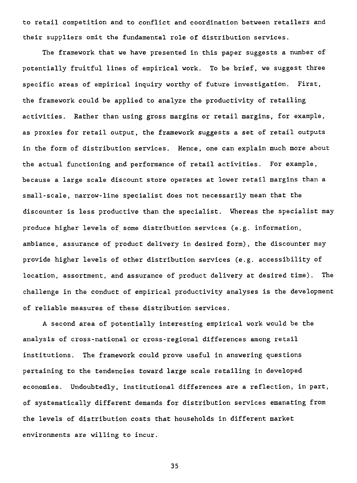to retail competition and to conflict and coordination between retailers and their suppliers omit the fundamental role of distribution services.

The framework that we have presented in this paper suggests a number of potentially fruitful lines of empirical work. To be brief, we suggest three specific areas of empirical inquiry worthy of future investigation. First, the framework could be applied to analyze the productivity of retailing activities. Rather than using gross margins or retail margins, for example, as proxies for retail output, the framework suggests a set of retail outputs in the form of distribution services. Hence, one can explain much more about the actual functioning and performance of retail activities. For example, because a large scale discount store operates at lower retail margins than a small-scale, narrow-line specialist does not necessarily mean that the discounter is less productive than the specialist. Whereas the specialist may produce higher levels of some distribution services (e.g. information, ambiance, assurance of product delivery in desired form), the discounter may provide higher levels of other distribution services (e.g. accessibility of location, assortment, and assurance of product delivery at desired time). The challenge in the conduct of empirical productivity analyses is the development of reliable measures of these distribution services.

A second area of potentially interesting empirical work would be the analysis of cross-national or cross-regional differences among retail institutions. The framework could prove useful in answering questions pertaining to the tendencies toward large scale retailing in developed economies. Undoubtedly, institutional differences are a reflection, in part, of systematically different demands for distribution services emanating from the levels of distribution costs that households in different market environments are willing to incur.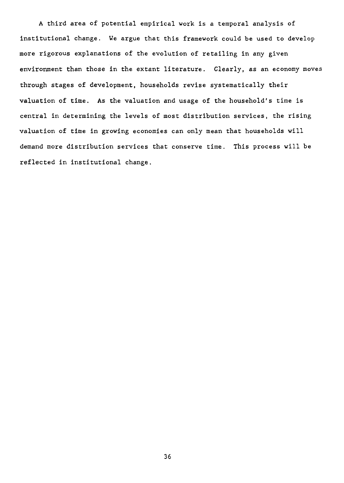A third area of potential empirical work is a temporal analysis of institutional change. We argue that this framework could be used to develop more rigorous explanations of the evolution of retailing in any given environment than those in the extant literature. Clearly, as an economy moves through stages of development, households revise systematically their valuation of time. As the valuation and usage of the household's time is central in determining the levels of most distribution services, the rising valuation of time in growing economies can only mean that households will demand more distribution services that conserve time. This process will be reflected in institutional change.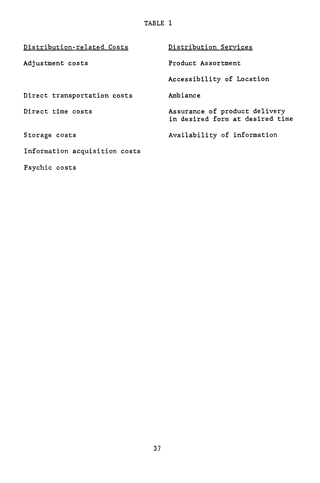TABLE 1

| Distribution-related Costs    | Distribution Services                                            |  |  |
|-------------------------------|------------------------------------------------------------------|--|--|
| Adjustment costs              | Product Assortment                                               |  |  |
|                               | Accessibility of Location                                        |  |  |
| Direct transportation costs   | Ambiance                                                         |  |  |
| Direct time costs             | Assurance of product delivery<br>in desired form at desired time |  |  |
| Storage costs                 | Availability of information                                      |  |  |
| Information acquisition costs |                                                                  |  |  |
| Psychic costs                 |                                                                  |  |  |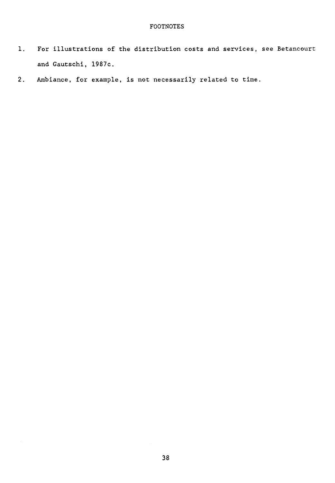## FOOTNOTES

- 1. For illustrations of the distribution costs and services, see Betancourt and Gautschi, 1987c.
- 2. Ambiance, for example, is not necessarily related to time.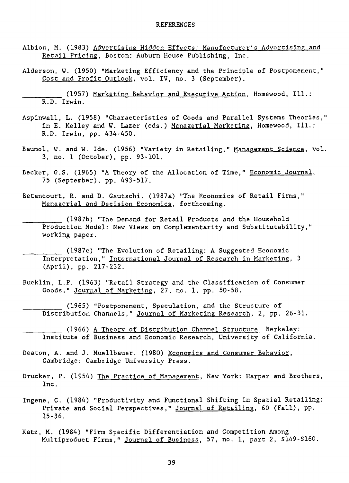- Albion, M. (1983) Advertising Hidden Effects: Manufacturer's Advertising and Retail Pricing, Boston: Auburn House Publishing, Inc.
- Alderson, W. (1950) "Marketing Efficiency and the Principle of Postponement," Cost and Profit Outlook, vol. IV, no. 3 (September).
	- (1957) Marketing Behavior and Executive Action, Homewood, Ill.: R.D. Irwin.
- Aspinwall, L. (1958) "Characteristics of Goods and Parallel Systems Theories," in E. Kelley and W. Lazer (eds.) Managerial Marketing, Homewood, Ill.: R.D. Irwin, pp. 434-450.
- Baumol, W. and W. Ide. (1956) "Variety in Retailing," Management Science, vol. 3, no. 1 (October), pp. 93-101.
- Becker, G.S. (1965) "A Theory of the Allocation of Time," Economic Journal, 75 (September), pp. 493-517.
- Betancourt, R. and D. Gautschi. (1987a) "The Economics of Retail Firms," Managerial and Decision Economics, forthcoming.
	- (1987b) "The Demand for Retail Products and the Household Production Model: New Views on Complementarity and Substitutability," working paper.
- (1987c) "The Evolution of Retailing: A Suggested Economic Interpretation," International Journal of Research in Marketing, 3 (April), pp. 217-232.
- Bucklin, L.P. (1963) "Retail Strategy and the Classification of Consumer Goods," Journal of Marketing, 27, no. 1, pp. 50-58.
	- (1965) "Postponement, Speculation, and the Structure of Distribution Channels," Journal of Marketing Research, 2, pp. 26-31.
		- (1966) A Theory of Distribution Channel Structure, Berkeley: Institute of Business and Economic Research, University of California.
- Deaton, A. and J. Muellbauer. (1980) Economics and Consumer Behavior, Cambridge: Cambridge University Press.
- Drucker, P. (1954) The Practice of Management, New York: Harper and Brothers, Inc.
- Ingene, C. (1984) "Productivity and Functional Shifting in Spatial Retailing: Private and Social Perspectives," Journal of Retailing, 60 (Fall), pp. 15-36.
- Katz, M. (1984) "Firm Specific Differentiation and Competition Among Multiproduct Firms," Journal of Business, 57, no. 1, part 2, S149-S160.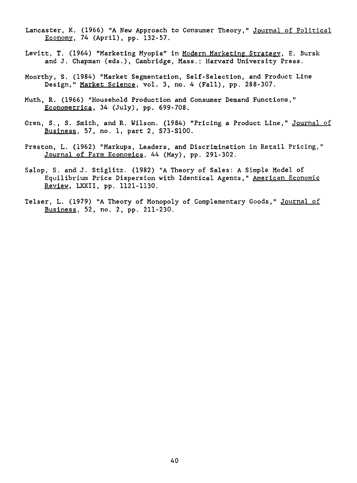- Lancaster, K. (1966) "A New Approach to Consumer Theory," Journal of Political Economy, 74 (April), pp. 132-57.
- Levitt, T. (1964) "Marketing Myopia" in Modern Marketing Strategy, E. Bursk and J. Chapman (eds.), Cambridge, Mass.: Harvard University Press.
- Moorthy, S. (1984) "Market Segmentation, Self-Selection, and Product Line Design," Market Science, vol. 3, no. 4 (Fall), pp. 288-307.
- Muth, R. (1966) "Household Production and Consumer Demand Functions," Econometrica, 34 (July), pp. 699-708.
- Oren, S., S. Smith, and R. Wilson. (1984) "Pricing a Product Line," Journal of Business, 57, no. 1, part 2, S73-S100.
- Preston, L. (1962) "Markups, Leaders, and Discrimination in Retail Pricing," Journal of Farm Economics, 44 (May), pp. 291-302.
- Salop, S. and J. Stiglitz. (1982) "A Theory of Sales: A Simple Model of Equilibrium Price Dispersion with Identical Agents," American Economic Review, LXXII, pp. 1121-1130.
- Telser, L. (1979) "A Theory of Monopoly of Complementary Goods," Journal of Business, 52, no. 2, pp. 211-230.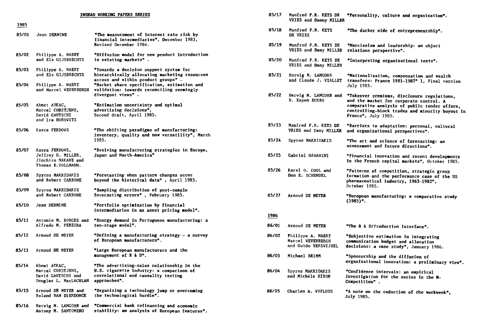|       | INSEAD VORKING PAPERS SERIES                                                      |                                                                                                                                               |       | 85/17<br>Manfred F.R. KETS DE<br>"Personality, culture and organiza |                                                                                                                                 |  |  |
|-------|-----------------------------------------------------------------------------------|-----------------------------------------------------------------------------------------------------------------------------------------------|-------|---------------------------------------------------------------------|---------------------------------------------------------------------------------------------------------------------------------|--|--|
| 1985  |                                                                                   |                                                                                                                                               |       | VRIES and Danny MILLER                                              |                                                                                                                                 |  |  |
| 85/01 | Jean DERMINE                                                                      | "The measurement of interest rate risk by<br>financial intermediaries", December 1983,                                                        | 85/18 | Manfred F.R. KETS<br>DE VRIES                                       | <b>"The darker side of entrepreneurs!</b>                                                                                       |  |  |
|       |                                                                                   | Revised December 1984.                                                                                                                        | 85/19 | Manfred F.R. KETS DE<br>VRIES and Dany MILLER                       | "Narcissism and leadership: an oby<br>relations perspective".                                                                   |  |  |
| 85/02 | Philippe A. NAERT<br>and Els GIJSBRECHTS                                          | "Diffusion model for new product introduction<br>in existing markets".                                                                        | 85/20 | Manfred F.R. KETS DE<br>VRIES and Dany MILLER                       | "Interpreting organizational text:                                                                                              |  |  |
| 85/03 | Philippe A. NAERT<br>and Els GIJSBRECHTS                                          | "Towards a decision support system for<br>hierarchically allocating marketing resources                                                       | 85/21 | Herwig M. LANGOHR                                                   | "Nationalization, compensation an                                                                                               |  |  |
| 85/04 | Philippe A. NAERT<br>and Marcel WEVERBERGH                                        | across and within product groups".<br>"Market share specification, estimation and<br>validation: towards reconciling seemingly                |       | and Claude J. VIALLET                                               | transfers: France 1981-1982" 1, F.<br>July 1985.                                                                                |  |  |
|       |                                                                                   | divergent views".                                                                                                                             | 85/22 | Herwig M. LANGOHR and<br>B. Espen ECKBO                             | "Takeover premiums, disclosure reg<br>and the market for corporate conti                                                        |  |  |
| 85/05 | Ahmet AYKAC,<br>Marcel CORSTJENS,<br>David GAUTSCHI<br>and Ira HOROWITZ           | "Estimation uncertainty and optimal<br>advertising decisions",<br>Second draft, April 1985.                                                   |       |                                                                     | comparative analysis of public ter<br>controlling-block trades and minor<br>France", July 1985.                                 |  |  |
| 85/06 | Kasra FERDOWS                                                                     | "The shifting paradigms of manufacturing:<br>inventory, quality and now versatility", March                                                   | 85/23 | Manfred F.R. KETS DE<br>VRIES and Dany MILLER                       | "Barriers to adaptation: personal,<br>and organizational perspectives".                                                         |  |  |
|       |                                                                                   | 1985.                                                                                                                                         | 85/24 | Spyros MAKRIDAKIS                                                   | "The art and science of forecastin<br>assessment and future directions".                                                        |  |  |
| 85/07 | Kasra FERDOWS,<br>Jeffrey G. MILLER,<br>Jinchiro NAKANE and<br>Thomas E.VOLLMANN. | "Evolving manufacturing strategies in Europe,<br>Japan and North-America"                                                                     | 85/25 | Gabriel HAWAWINI                                                    | "Financial innovation and recent o<br>in the French capital markets", Oc                                                        |  |  |
| 85/08 | Spyros MAKRIDAKIS<br>and Robert CARBONE                                           | "Porecasting when pattern changes occur<br>beyond the historical data", April 1985.                                                           | 85/26 | Karel 0. COOL and<br>Dan E. SCHENDEL                                | "Patterns of competition, strategi<br>formation and the performance case<br>pharmaceutical industry, 1963-1982<br>October 1985. |  |  |
| 85/09 | Spyros MAKRIDAKIS<br>and Robert CARBONE                                           | "Sampling distribution of post-sample<br>forecasting errors", February 1985.                                                                  | 85/27 | Arnoud DE MEYER                                                     | "European manufacturing: a compara                                                                                              |  |  |
| 85/10 | Jean DERMINE                                                                      | "Portfolio optimization by financial<br>intermediaries in an asset pricing model".                                                            |       |                                                                     | $(1985)^n$ .                                                                                                                    |  |  |
| 85/11 | Antonio M. BORGES and                                                             | "Energy demand in Portuguese manufacturing: a                                                                                                 | 1986  |                                                                     |                                                                                                                                 |  |  |
|       | Alfredo M. PEREIRA                                                                | two-stage model".                                                                                                                             | 86/01 | Arnoud DE MEYER                                                     | "The R & D/Production interface".                                                                                               |  |  |
| 85/12 | Arnoud DE MEYER                                                                   | "Defining a manufacturing strategy - a survey<br>of European manufacturers".                                                                  | 86/02 | Philippe A. NAERT<br>Marcel WEVERBERGH<br>and Guido VERSWIJVEL      | "Subjective estimation in integrat<br>communication budget and allocatio<br>decisions: a case study", January                   |  |  |
| 85/13 | Arnoud DE MEYER                                                                   | "Large European manufacturers and the<br>management of R & D".                                                                                | 86/03 | Michael BRIMM                                                       | "Sponsorship and the diffusion of                                                                                               |  |  |
| 85/14 | Ahmet AYKAC,<br>Marcel CORSTJENS,<br>David GAUTSCHI and<br>Douglas L. MacLACHLAN  | "The advertising-sales relationship in the<br>U.S. cigarette industry: a comparison of<br>correlational and causality testing<br>approaches". | 86/04 | Spyros MAKRIDAKIS<br>and Michèle HIBON                              | organizational innovation: a preli<br>"Confidence intervals: an empirica<br>investigation for the series in th<br>Competition". |  |  |
| 85/15 | Arnoud DE MEYER and<br>Roland VAN DIERDONCK                                       | "Organizing a technology jump or overcoming<br>the technological hurdle".                                                                     | 86/05 | Charles A. WYPLOSZ                                                  | "A note on the reduction of the wo<br>July 1985.                                                                                |  |  |
| 85/16 | Herwig M. LANGOHR and                                                             | "Commercial bank refinancing and economic                                                                                                     |       |                                                                     |                                                                                                                                 |  |  |

**stability: an analysis of European features".** 

**Antony M. SANTOMERO** 

|            | INSEAD VORKING PAPERS SERIES                                                                                                                                                                                              | 85/17 | Manfred F.R. KETS DE<br>VRIES and Danny MILLER                 | "Personality, culture and organization".                                                                                                                                                                          |
|------------|---------------------------------------------------------------------------------------------------------------------------------------------------------------------------------------------------------------------------|-------|----------------------------------------------------------------|-------------------------------------------------------------------------------------------------------------------------------------------------------------------------------------------------------------------|
|            | "The measurement of interest rate risk by<br>financial intermediaries", December 1983,                                                                                                                                    | 85/18 | Manfred F.R. KETS<br>DE VRIES                                  | "The darker side of entrepreneurship".                                                                                                                                                                            |
|            | Revised December 1984.                                                                                                                                                                                                    | 85/19 | Manfred F.R. KETS DE<br>VRIES and Dany MILLER                  | "Narcissism and leadership: an object<br>relations perspective".                                                                                                                                                  |
| rs.        | "Diffusion model for new product introduction<br>in existing markets".                                                                                                                                                    | 85/20 | Manfred F.R. KETS DE<br>VRIES and Dany MILLER                  | "Interpreting organizational texts".                                                                                                                                                                              |
| ΓS<br>ERGH | "Towards a decision support system for<br>hierarchically allocating marketing resources<br>across and within product groups".<br>"Market share specification, estimation and<br>validation: towards reconciling seemingly | 85/21 | Herwig M. LANGOHR<br>and Claude J. VIALLET                     | "Nationalization, compensation and wealth<br>transfers: France 1981-1982" 1, Final version<br>July 1985.                                                                                                          |
|            | divergent views".<br>"Estimation uncertainty and optimal<br>advertising decisions",<br>Second draft, April 1985.                                                                                                          | 85/22 | Herwig M. LANGOHR and<br>B. Espen ECKBO                        | "Takeover premiums, disclosure regulations,<br>and the market for corporate control. A<br>comparative analysis of public tender offers,<br>controlling-block trades and minority buyout in<br>France", July 1985. |
|            | "The shifting paradigms of manufacturing:<br>inventory, quality and now versatility", March                                                                                                                               | 85/23 | Manfred F.R. KETS DE<br>VRIES and Dany MILLER                  | "Barriers to adaptation: personal, cultural<br>and organizational perspectives".                                                                                                                                  |
|            | 1985.                                                                                                                                                                                                                     | 85/24 | Spyros MAKRIDAKIS                                              | "The art and science of forecasting: an<br>assessment and future directions".                                                                                                                                     |
| d          | "Evolving manufacturing strategies in Europe,<br>Japan and North-America"                                                                                                                                                 | 85/25 | Gabriel HAWAWINI                                               | "Financial innovation and recent developments<br>in the French capital markets", October 1985.                                                                                                                    |
|            | "Forecasting when pattern changes occur<br>beyond the historical data", April 1985.                                                                                                                                       | 85/26 | Karel 0. COOL and<br>Dan E. SCHENDEL                           | "Patterns of competition, strategic group<br>formation and the performance case of the US<br>pharmaceutical industry, 1963-1982",<br>October 1985.                                                                |
|            | "Sampling distribution of post-sample<br>forecasting errors", February 1985.                                                                                                                                              | 85/27 | Arnoud DE MEYER                                                | "European manufacturing: a comparative study<br>$(1985)^n$ .                                                                                                                                                      |
|            | "Portfolio optimization by financial<br>intermediaries in an asset pricing model".                                                                                                                                        |       |                                                                |                                                                                                                                                                                                                   |
| and        | "Energy demand in Portuguese manufacturing: a                                                                                                                                                                             | 1986  |                                                                |                                                                                                                                                                                                                   |
|            | two-stage model".                                                                                                                                                                                                         | 86/01 | Arnoud DE MEYER                                                | "The R & D/Production interface".                                                                                                                                                                                 |
|            | "Defining a manufacturing strategy - a survey<br>of European manufacturers".                                                                                                                                              | 86/02 | Philippe A. NAERT<br>Marcel WEVERBERGH<br>and Guido VERSWIJVEL | "Subjective estimation in integrating<br>communication budget and allocation<br>decisions: a case study", January 1986.                                                                                           |
|            | "Large European manufacturers and the<br>management of R & D".                                                                                                                                                            | 86/03 | Michael BRIMM                                                  | "Sponsorship and the diffusion of<br>organizational innovation: a preliminary view".                                                                                                                              |
| ilan       | "The advertising-sales relationship in the<br>U.S. cigarette industry: a comparison of<br>correlational and causality testing<br>approaches".                                                                             | 86/04 | Spyros MAKRIDAKIS<br>and Michèle HIBON                         | "Confidence intervals: an empirical<br>investigation for the series in the M-<br>Competition".                                                                                                                    |
| ıd<br>VCK  | "Organizing a technology jump or overcoming<br>the technological hurdle".                                                                                                                                                 | 86/05 | Charles A. WYPLOSZ                                             | "A note on the reduction of the workweek",<br>July 1985.                                                                                                                                                          |
|            |                                                                                                                                                                                                                           |       |                                                                |                                                                                                                                                                                                                   |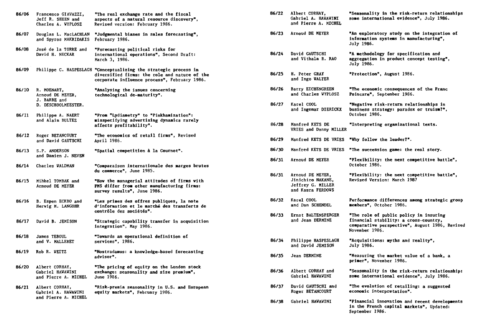| 86/06 | Francesco GIAVAZZI,<br>Jeff R. SHEEN and<br>Charles A. WYPLOSZ         | "The real exchange rate and the fiscal<br>aspects of a natural resource discovery",<br>Revised version: February 1986.                                            |
|-------|------------------------------------------------------------------------|-------------------------------------------------------------------------------------------------------------------------------------------------------------------|
| 86/07 | Douglas L. MacLACHLAN<br>and Spyros MAKRIDAKIS                         | "Judgmental biases in sales forecasting",<br>February 1986.                                                                                                       |
| 86/08 | José de la TORRE and<br>David H. NECKAR                                | "Forecasting political risks for<br>international operations", Second Draft:<br>March 3, 1986.                                                                    |
| 86/09 |                                                                        | Philippe C. HASPESLAGH "Conceptualizing the strategic process in<br>diversified firms: the role and nature of the<br>corporate influence process", February 1986. |
| 86/10 | R. MOENART,<br>Arnoud DE MEYER,<br>J. BARBE and<br>D. DESCHOOLMEESTER. | "Analysing the issues concerning<br>technological de-maturity".                                                                                                   |
| 86/11 | Philippe A. NAERT<br>and Alain BULTEZ                                  | "From "Lydiametry" to "Pinkhamization":<br>misspecifying advertising dynamics rarely<br>affects profitability".                                                   |
| 86/12 | Roger BETANCOURT<br>and David GAUTSCHI                                 | <b>"The economics of retail firms", Revised</b><br>April 1986.                                                                                                    |
| 86/13 | S.P. ANDERSON<br>and Damien J. NEVEN                                   | "Spatial competition à la Cournot".                                                                                                                               |
| 86/14 | Charles WALDMAN                                                        | "Comparaison internationale des marges brutes<br>du commerce", June 1985.                                                                                         |
| 86/15 | Mihkel TOMBAK and<br>Arnoud DE MEYER                                   | "How the managerial attitudes of firms with<br>PMS differ from other manufacturing firms:<br>survey results", June 1986.                                          |
| 86/16 | B. Espen ECKBO and<br>Herwig M. LANGOHR                                | "Les primes des offres publiques, la note<br>d'information et le marché des transferts de<br>contrôle des sociétés".                                              |
| 86/17 | David B. JEMISON                                                       | "Strategic capability transfer in acquisition<br>integration", May 1986.                                                                                          |
| 86/18 | James TEBOUL<br>and V. MALLERET                                        | "Towards an operational definition of<br>services", 1986.                                                                                                         |
| 86/19 | Rob R. VEITZ                                                           | "Nostradamus: a knowledge-based forecasting<br>advisor".                                                                                                          |
| 86/20 | Albert CORHAY,<br><b>Gabriel HAWAWINI</b><br>and Pierre A. MICHEL      | "The pricing of equity on the London stock<br>exchange: seasonality and size premium",<br>June 1986.                                                              |
| 86/21 | Albert CORHAY,<br>Gabriel A. HAWAWINI<br>and Pierre A. MICHEL          | "Risk-premia seasonality in U.S. and European<br>equity markets", February 1986.                                                                                  |

| 86/22 | Albert CORHAY,<br>Gabriel A. HAWAWINI<br>and Pierre A. MICHEL                   | "Seasonality in the risk-return relationships<br>some international evidence", July 1986.                                                           |
|-------|---------------------------------------------------------------------------------|-----------------------------------------------------------------------------------------------------------------------------------------------------|
| 86/23 | Arnoud DE MEYER                                                                 | "An exploratory study on the integration of<br>information systems in manufacturing",<br>July 1986.                                                 |
| 86/24 | David GAUTSCHI<br>and Vithala R. RAO                                            | "A methodology for specification and<br>aggregation in product concept testing",<br>July 1986.                                                      |
| 86/25 | H. Peter GRAY<br>and Ingo WALTER                                                | "Protection", August 1986.                                                                                                                          |
| 86/26 | Barry EICHENGREEN<br>and Charles WYPLOSZ                                        | "The economic consequences of the Franc<br>Poincare", September 1986.                                                                               |
| 86/27 | Karel COOL<br>and Ingemar DIERICKX                                              | "Negative risk-return relationships in<br>business strategy: paradox or truism?",<br>October 1986.                                                  |
| 86/28 | Manfred KETS DE<br>VRIES and Danny MILLER                                       | "Interpreting organizational texts.                                                                                                                 |
| 86/29 | Manfred KETS DE VRIES                                                           | "Why follow the leader?".                                                                                                                           |
| 86/30 | Manfred KETS DE VRIES                                                           | "The succession game: the real story.                                                                                                               |
| 86/31 | Arnoud DE MEYER                                                                 | "Flexibility: the next competitive battle",<br>October 1986.                                                                                        |
| 86/31 | Arnoud DE MEYER,<br>Jinichiro NAKANE,<br>Jeffrey G. MILLER<br>and Kasra FERDOWS | "Flexibility: the next competitive battle",<br><b>Revised Version: March 1987</b>                                                                   |
| 86/32 | Karel COOL<br>and Dan SCHENDEL                                                  | Performance differences among strategic group<br>members", October 1986.                                                                            |
| 86/33 | Ernst BALTENSPERGER<br>and Jean DERMINE                                         | "The role of public policy in insuring<br>financial stability: a cross-country,<br>comparative perspective", August 1986, Revised<br>November 1986. |
| 86/34 | Philippe HASPESLAGH<br>and David JEMISON                                        | "Acquisitions: myths and reality",<br>July 1986.                                                                                                    |
| 86/35 | Jean DERMINE                                                                    | "Measuring the market value of a bank, a<br>primer", November 1986.                                                                                 |
| 86/36 | Albert CORHAY and<br><b>Gabriel HAVAVINI</b>                                    | "Seasonality in the risk-return relationship:<br>some international evidence", July 1986.                                                           |
| 86/37 | David GAUTSCHI and<br>Roger BETANCOURT                                          | "The evolution of retailing: a suggested<br>economic interpretation".                                                                               |
| 86/38 | Gabriel HAWAWINI                                                                | "Financial innovation and recent developments<br>in the French capital markets", Updated:<br>September 1986.                                        |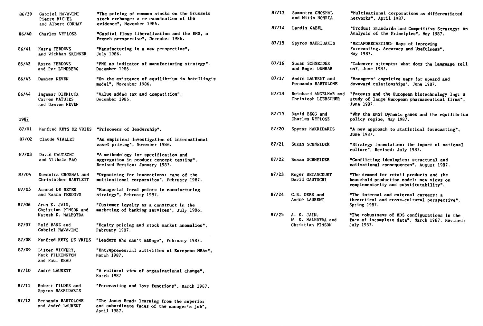| 86/39 | Gabriel HAVAVINI<br>Pierre MICHEL<br>and Albert CORHAY      | "The pricing of common stocks on the Brussels<br>stock exchange: a re-examination of the<br>evidence", November 1986. | 87/13 | Sumantra GHOSHAL<br>and Nitin NOHRIA         | <b>"Multinati</b><br>networks",                         |
|-------|-------------------------------------------------------------|-----------------------------------------------------------------------------------------------------------------------|-------|----------------------------------------------|---------------------------------------------------------|
| 86/40 | Charles WYPLOSZ                                             | "Capital flows liberalization and the EMS, a                                                                          | 87/14 | Landis GABEL                                 | "Product S<br>Analysis of                               |
| 86/41 | Kasra FERDOWS<br>and Wickham SKINNER                        | French perspective", December 1986.<br>"Manufacturing in a new perspective",<br>July 1986.                            | 87/15 | Spyros MAKRIDAKIS                            | "METAFOREC.<br>Forecasting<br>May 1987.                 |
| 86/42 | Kasra FERDOVS<br>and Per LINDBERG                           | "FMS as indicator of manufacturing strategy",<br>December 1986.                                                       | 87/16 | Susan SCHNEIDER<br>and Roger DUNBAR          | "Takeover a<br>us?, June :                              |
| 86/43 | Damien NEVEN                                                | "On the existence of equilibrium in hotelling's<br><b>model",</b> Novemb <b>er</b> 1986.                              | 87/17 | André LAURENT and<br>Fernando BARTOLOME      | "Managers'<br>downward re                               |
| 86/44 | Ingemar DIERICKX<br>Carmen MATUTES<br>and Damien NEVEN      | "Value added tax and competition",<br><b>December 1986.</b>                                                           | 87/18 | Reinhard ANGELMAR and<br>Christoph LIEBSCHER | "Patents a<br>study of la<br>June 1987.                 |
| 1987  |                                                             |                                                                                                                       | 87/19 | David BEGG and<br>Charles WYPLOSZ            | "Vhy the El<br>policy regi                              |
| 87/01 | Manfred KETS DE VRIES                                       | "Prisoners of leadership".                                                                                            | 87/20 | Spyros MAKRIDAKIS                            | "A new appr                                             |
| 87/02 | Claude VIALLET                                              | "An empirical investigation of international<br>asset pricing", November 1986.                                        | 87/21 | Susan SCHNEIDER                              | June 1987.<br>"Strategy i                               |
| 87/03 | David GAUTSCHI<br>and Vithala RAO                           | "A methodology for specification and<br>aggregation in product concept testing",<br>Revised Version: January 1987.    | 87/22 | Susan SCHNEIDER                              | culture", I<br><b>"Conflictir</b><br>motivationa        |
| 87/04 | Sumantra GHOSHAL and<br>Christopher BARTLETT                | "Organizing for innovations: case of the<br>multinational corporation", February 1987.                                | 87/23 | Roger BETANCOURT<br>David GAUTSCHI           | <b>"The demand</b><br>household p                       |
| 87/05 | Arnoud DE MEYER<br>and Kasra FERDOVS                        | "Managerial focal points in manufacturing<br>strategy", February 1987.                                                | 87/24 | C.B. DERR and<br>André LAURENT               | complementa<br>"The intern<br>theoretical               |
| 87/06 | Arun K. JAIN,<br>Christian PINSON and<br>Naresh K. MALHOTRA | "Customer loyalty as a construct in the<br>marketing of banking services", July 1986.                                 | 87/25 | A. K. JAIN,                                  | Spring 1987<br>"The robust<br>face of inc<br>July 1987. |
| 87/07 | Rolf BANZ and<br>Gabriel HAVAVINI                           | "Equity pricing and stock market anomalies".<br>February 1987.                                                        |       | N. K. MALHOTRA and<br>Christian PINSON       |                                                         |
| 87/08 | Manfred KETS DE VRIES                                       | "Leaders who can't manage", February 1987.                                                                            |       |                                              |                                                         |
| 87/09 | Lister VICKERY,<br>Mark PILKINGTON<br>and Paul READ         | "Entrepreneurial activities of European MBAs",<br>March 1987.                                                         |       |                                              |                                                         |
| 87/10 | André LAURENT                                               | "A cultural view of organizational change",<br>March 1987                                                             |       |                                              |                                                         |
| 87/11 | Robert FILDES and                                           | "Forecasting and loss functions", March 1987.                                                                         |       |                                              |                                                         |

**"The Janus Head: learning from the superior and subordinate faces of the manager's job",** 

**April 1987.** 

Spyros MAKRIDAKIS

**87/12 Fernando BARTOLOME and André LAURENT** 

**87/19 David BEGG and Charles WYPLOSZ 1987 policy regime, May 1987.**  87/20 Spyros MAKRIDAKIS **"A new approach to statistical forecasting"**, June 1987. 87/21 Susan SCHNEIDER "Strategy formulation: the impact of national **culture", Revised: July 1987.**  87/22 Susan SCHNEIDER "Conflicting ideologies: structural and **"The demand for retail products and the household production model: new views on complementarity and substitutability". 87/20** Spyros **MAKRIDAKIS**  Susan SCHNEIDER Susan SCHNEIDER 87/23 Roger BETANCOURT David GAUTSCHI **87/24 C.B.** DERR and André LAURENT **"The internai and external careers: a theoretical and cross-cultural perspective", Spring 1987. 87/25 A. K. JAIN, N. K. MALHOTRA and**  Christian PINSON **"The robustness of MDS configurations in the face of incomplete data",** March 1987, Revised:

**"Why the EMS? Dynamic gazes and the equilibrium** 

**"Managers' cognitive maps for upvard and downvard relationships",** June 1987.

- 
- 

**"Multinational corporations as differentiated** 

**"Product Standards and Competitive Strategy: An** 

**"Takeover attempts: vhat does the language tell** 

study of large European pharmaceutical firms",

**Analysis of the Principles", May 1987. "METAFORECASTING: Ways of improving Forecasting. Accuracy and Usefulness",** 

**netvorks", April 1987.** 

**us?,** June 1987.

**87/18** Reinhard ANGELMAR and **"Patents and the European biotechnology lag: a** 

**motivational consequences",** August 1987.